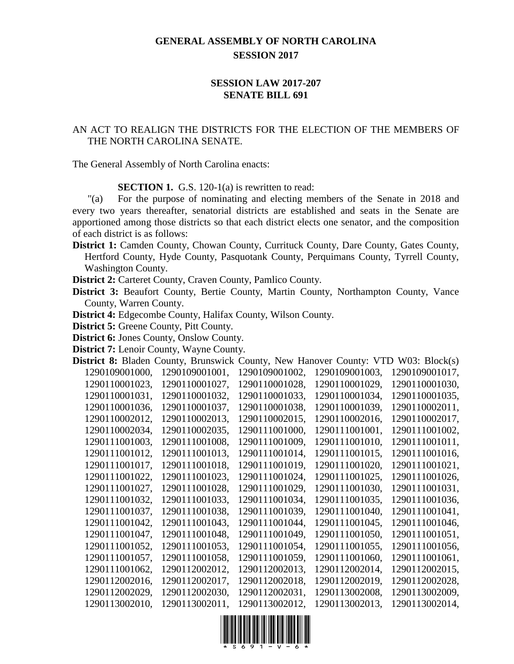## **GENERAL ASSEMBLY OF NORTH CAROLINA SESSION 2017**

## **SESSION LAW 2017-207 SENATE BILL 691**

## AN ACT TO REALIGN THE DISTRICTS FOR THE ELECTION OF THE MEMBERS OF THE NORTH CAROLINA SENATE.

The General Assembly of North Carolina enacts:

**SECTION 1.** G.S. 120-1(a) is rewritten to read:

"(a) For the purpose of nominating and electing members of the Senate in 2018 and every two years thereafter, senatorial districts are established and seats in the Senate are apportioned among those districts so that each district elects one senator, and the composition of each district is as follows:

**District 1:** Camden County, Chowan County, Currituck County, Dare County, Gates County, Hertford County, Hyde County, Pasquotank County, Perquimans County, Tyrrell County, Washington County.

**District 2:** Carteret County, Craven County, Pamlico County.

**District 3:** Beaufort County, Bertie County, Martin County, Northampton County, Vance County, Warren County.

**District 4:** Edgecombe County, Halifax County, Wilson County.

**District 5:** Greene County, Pitt County.

**District 6:** Jones County, Onslow County.

**District 7:** Lenoir County, Wayne County.

|                | <b>District 8:</b> Bladen County, Brunswick County, New Hanover County: VTD W03: Block(s) |                |                |                |
|----------------|-------------------------------------------------------------------------------------------|----------------|----------------|----------------|
| 1290109001000, | 1290109001001,                                                                            | 1290109001002. | 1290109001003. | 1290109001017, |
| 1290110001023, | 1290110001027,                                                                            | 1290110001028, | 1290110001029, | 1290110001030, |
| 1290110001031, | 1290110001032.                                                                            | 1290110001033, | 1290110001034, | 1290110001035, |
| 1290110001036, | 1290110001037,                                                                            | 1290110001038, | 1290110001039, | 1290110002011, |
| 1290110002012, | 1290110002013,                                                                            | 1290110002015, | 1290110002016, | 1290110002017, |
| 1290110002034, | 1290110002035,                                                                            | 1290111001000, | 1290111001001, | 1290111001002, |
| 1290111001003, | 1290111001008,                                                                            | 1290111001009, | 1290111001010, | 1290111001011, |
| 1290111001012, | 1290111001013,                                                                            | 1290111001014, | 1290111001015, | 1290111001016, |
| 1290111001017, | 1290111001018.                                                                            | 1290111001019, | 1290111001020, | 1290111001021, |
| 1290111001022, | 1290111001023,                                                                            | 1290111001024, | 1290111001025, | 1290111001026, |
| 1290111001027, | 1290111001028,                                                                            | 1290111001029, | 1290111001030, | 1290111001031, |
| 1290111001032, | 1290111001033,                                                                            | 1290111001034, | 1290111001035, | 1290111001036, |
| 1290111001037, | 1290111001038,                                                                            | 1290111001039, | 1290111001040, | 1290111001041, |
| 1290111001042, | 1290111001043,                                                                            | 1290111001044, | 1290111001045, | 1290111001046, |
| 1290111001047, | 1290111001048.                                                                            | 1290111001049, | 1290111001050, | 1290111001051, |
| 1290111001052, | 1290111001053,                                                                            | 1290111001054, | 1290111001055, | 1290111001056, |
| 1290111001057, | 1290111001058,                                                                            | 1290111001059, | 1290111001060, | 1290111001061, |
| 1290111001062, | 1290112002012,                                                                            | 1290112002013, | 1290112002014, | 1290112002015, |
| 1290112002016, | 1290112002017,                                                                            | 1290112002018, | 1290112002019, | 1290112002028, |
| 1290112002029, | 1290112002030,                                                                            | 1290112002031, | 1290113002008, | 1290113002009, |
| 1290113002010, | 1290113002011,                                                                            | 1290113002012, | 1290113002013, | 1290113002014, |

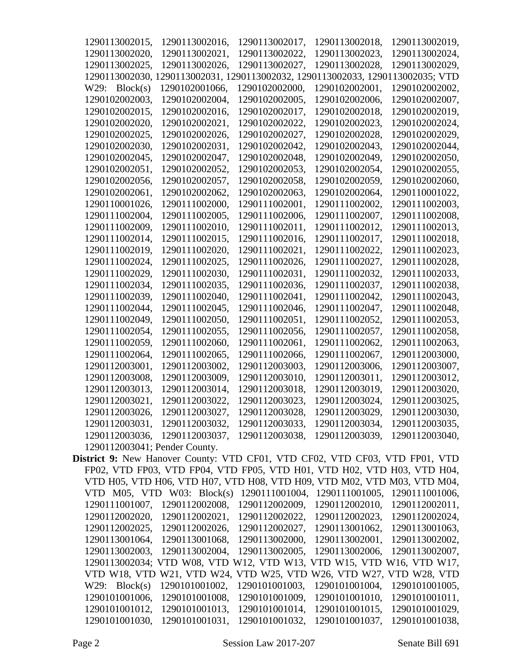| 1290113002015,                                                              | 1290113002016,                                                                 | 1290113002017,             | 1290113002018, | 1290113002019, |
|-----------------------------------------------------------------------------|--------------------------------------------------------------------------------|----------------------------|----------------|----------------|
| 1290113002020,                                                              | 1290113002021,                                                                 | 1290113002022.             | 1290113002023, | 1290113002024, |
| 1290113002025,                                                              | 1290113002026,                                                                 | 1290113002027,             | 1290113002028, | 1290113002029, |
|                                                                             | 1290113002030, 1290113002031, 1290113002032, 1290113002033, 1290113002035; VTD |                            |                |                |
| W29:<br>Block(s)                                                            | 1290102001066,                                                                 | 1290102002000,             | 1290102002001, | 1290102002002, |
| 1290102002003,                                                              | 1290102002004,                                                                 | 1290102002005,             | 1290102002006, | 1290102002007, |
| 1290102002015,                                                              | 1290102002016,                                                                 | 1290102002017,             | 1290102002018, | 1290102002019, |
| 1290102002020,                                                              | 1290102002021,                                                                 | 1290102002022,             | 1290102002023, | 1290102002024, |
| 1290102002025,                                                              | 1290102002026,                                                                 | 1290102002027,             | 1290102002028, | 1290102002029, |
| 1290102002030,                                                              | 1290102002031,                                                                 | 1290102002042,             | 1290102002043, | 1290102002044, |
| 1290102002045,                                                              | 1290102002047,                                                                 | 1290102002048,             | 1290102002049, | 1290102002050, |
| 1290102002051,                                                              | 1290102002052,                                                                 | 1290102002053,             | 1290102002054, | 1290102002055, |
| 1290102002056,                                                              | 1290102002057,                                                                 | 1290102002058,             | 1290102002059, | 1290102002060, |
| 1290102002061,                                                              | 1290102002062,                                                                 | 1290102002063,             | 1290102002064, | 1290110001022, |
| 1290110001026,                                                              | 1290111002000,                                                                 | 1290111002001,             | 1290111002002, | 1290111002003, |
| 1290111002004,                                                              | 1290111002005,                                                                 | 1290111002006,             | 1290111002007, | 1290111002008, |
| 1290111002009,                                                              | 1290111002010,                                                                 | 1290111002011,             | 1290111002012, | 1290111002013, |
| 1290111002014,                                                              | 1290111002015,                                                                 | 1290111002016,             | 1290111002017, | 1290111002018. |
| 1290111002019,                                                              | 1290111002020,                                                                 | 1290111002021.             | 1290111002022, | 1290111002023, |
| 1290111002024,                                                              | 1290111002025,                                                                 | 1290111002026,             | 1290111002027, | 1290111002028, |
|                                                                             |                                                                                | 1290111002031,             |                | 1290111002033, |
| 1290111002029,                                                              | 1290111002030,                                                                 |                            | 1290111002032, |                |
| 1290111002034,                                                              | 1290111002035,                                                                 | 1290111002036,             | 1290111002037, | 1290111002038, |
| 1290111002039,                                                              | 1290111002040,                                                                 | 1290111002041,             | 1290111002042, | 1290111002043, |
| 1290111002044,                                                              | 1290111002045,                                                                 | 1290111002046,             | 1290111002047, | 1290111002048, |
| 1290111002049,                                                              | 1290111002050,                                                                 | 1290111002051,             | 1290111002052, | 1290111002053, |
| 1290111002054,                                                              | 1290111002055,                                                                 | 1290111002056,             | 1290111002057, | 1290111002058, |
| 1290111002059,                                                              | 1290111002060,                                                                 | 1290111002061,             | 1290111002062, | 1290111002063, |
| 1290111002064,                                                              | 1290111002065,                                                                 | 1290111002066,             | 1290111002067, | 1290112003000, |
| 1290112003001,                                                              | 1290112003002,                                                                 | 1290112003003,             | 1290112003006, | 1290112003007, |
| 1290112003008,                                                              | 1290112003009,                                                                 | 1290112003010,             | 1290112003011, | 1290112003012, |
| 1290112003013,                                                              | 1290112003014,                                                                 | 1290112003018,             | 1290112003019, | 1290112003020, |
| 1290112003021,                                                              | 1290112003022,                                                                 | 1290112003023,             | 1290112003024, | 1290112003025, |
|                                                                             | 1290112003026, 1290112003027,                                                  | 1290112003028,             | 1290112003029, | 1290112003030, |
|                                                                             | 1290112003031, 1290112003032,                                                  | 1290112003033,             | 1290112003034, | 1290112003035, |
| 1290112003036,                                                              | 1290112003037,                                                                 | 1290112003038,             | 1290112003039, | 1290112003040, |
| 1290112003041; Pender County.                                               |                                                                                |                            |                |                |
| District 9: New Hanover County: VTD CF01, VTD CF02, VTD CF03, VTD FP01, VTD |                                                                                |                            |                |                |
|                                                                             | FP02, VTD FP03, VTD FP04, VTD FP05, VTD H01, VTD H02, VTD H03, VTD H04,        |                            |                |                |
|                                                                             | VTD H05, VTD H06, VTD H07, VTD H08, VTD H09, VTD M02, VTD M03, VTD M04,        |                            |                |                |
|                                                                             | VTD M05, VTD W03: Block(s) 1290111001004, 1290111001005, 1290111001006,        |                            |                |                |
| 1290111001007,                                                              | 1290112002008,                                                                 | 1290112002009,             | 1290112002010, | 1290112002011, |
| 1290112002020,                                                              | 1290112002021,                                                                 | 1290112002022,             | 1290112002023, | 1290112002024, |
| 1290112002025,                                                              | 1290112002026,                                                                 | 1290112002027,             | 1290113001062, | 1290113001063, |
| 1290113001064,                                                              | 1290113001068,                                                                 | 1290113002000,             | 1290113002001, | 1290113002002, |
| 1290113002003,                                                              | 1290113002004,                                                                 | 1290113002005,             | 1290113002006, | 1290113002007, |
|                                                                             | 1290113002034; VTD W08, VTD W12, VTD W13, VTD W15, VTD W16, VTD W17,           |                            |                |                |
|                                                                             | VTD W18, VTD W21, VTD W24,                                                     | VTD W25, VTD W26, VTD W27, |                | VTD W28, VTD   |
| W29: Block(s)                                                               | 1290101001002,                                                                 | 1290101001003,             | 1290101001004, | 1290101001005, |
| 1290101001006,                                                              | 1290101001008,                                                                 | 1290101001009,             | 1290101001010, | 1290101001011, |
| 1290101001012,                                                              | 1290101001013,                                                                 | 1290101001014,             | 1290101001015, | 1290101001029, |
| 1290101001030,                                                              | 1290101001031,                                                                 | 1290101001032,             | 1290101001037, | 1290101001038, |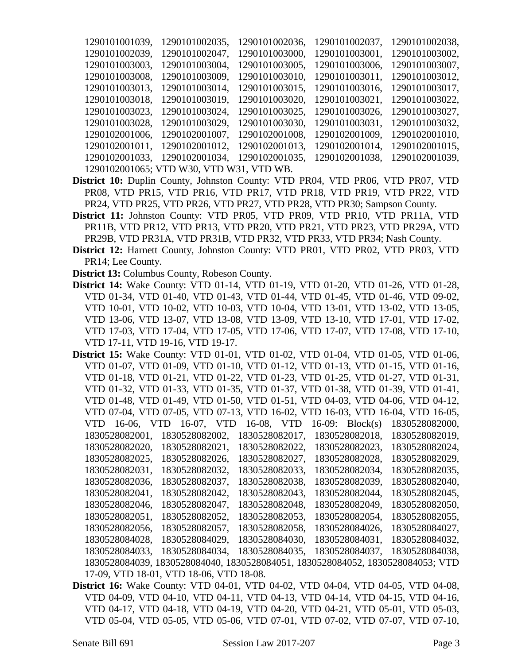| 1290101001039, | 1290101002035,                           | 1290101002036, | 1290101002037, | 1290101002038, |
|----------------|------------------------------------------|----------------|----------------|----------------|
| 1290101002039, | 1290101002047,                           | 1290101003000, | 1290101003001, | 1290101003002, |
| 1290101003003, | 1290101003004,                           | 1290101003005, | 1290101003006, | 1290101003007, |
| 1290101003008, | 1290101003009,                           | 1290101003010, | 1290101003011, | 1290101003012, |
| 1290101003013, | 1290101003014,                           | 1290101003015, | 1290101003016, | 1290101003017, |
| 1290101003018, | 1290101003019,                           | 1290101003020, | 1290101003021, | 1290101003022, |
| 1290101003023, | 1290101003024,                           | 1290101003025, | 1290101003026, | 1290101003027, |
| 1290101003028, | 1290101003029,                           | 1290101003030, | 1290101003031, | 1290101003032, |
| 1290102001006, | 1290102001007,                           | 1290102001008, | 1290102001009, | 1290102001010, |
| 1290102001011, | 1290102001012.                           | 1290102001013, | 1290102001014, | 1290102001015, |
| 1290102001033, | 1290102001034,                           | 1290102001035, | 1290102001038. | 1290102001039, |
|                | 1290102001065; VTD W30, VTD W31, VTD WB. |                |                |                |

- **District 10:** Duplin County, Johnston County: VTD PR04, VTD PR06, VTD PR07, VTD PR08, VTD PR15, VTD PR16, VTD PR17, VTD PR18, VTD PR19, VTD PR22, VTD PR24, VTD PR25, VTD PR26, VTD PR27, VTD PR28, VTD PR30; Sampson County.
- **District 11:** Johnston County: VTD PR05, VTD PR09, VTD PR10, VTD PR11A, VTD PR11B, VTD PR12, VTD PR13, VTD PR20, VTD PR21, VTD PR23, VTD PR29A, VTD PR29B, VTD PR31A, VTD PR31B, VTD PR32, VTD PR33, VTD PR34; Nash County.
- **District 12:** Harnett County, Johnston County: VTD PR01, VTD PR02, VTD PR03, VTD PR14; Lee County.
- **District 13:** Columbus County, Robeson County.
- **District 14:** Wake County: VTD 01-14, VTD 01-19, VTD 01-20, VTD 01-26, VTD 01-28, VTD 01-34, VTD 01-40, VTD 01-43, VTD 01-44, VTD 01-45, VTD 01-46, VTD 09-02, VTD 10-01, VTD 10-02, VTD 10-03, VTD 10-04, VTD 13-01, VTD 13-02, VTD 13-05, VTD 13-06, VTD 13-07, VTD 13-08, VTD 13-09, VTD 13-10, VTD 17-01, VTD 17-02, VTD 17-03, VTD 17-04, VTD 17-05, VTD 17-06, VTD 17-07, VTD 17-08, VTD 17-10, VTD 17-11, VTD 19-16, VTD 19-17.
- **District 15:** Wake County: VTD 01-01, VTD 01-02, VTD 01-04, VTD 01-05, VTD 01-06, VTD 01-07, VTD 01-09, VTD 01-10, VTD 01-12, VTD 01-13, VTD 01-15, VTD 01-16, VTD 01-18, VTD 01-21, VTD 01-22, VTD 01-23, VTD 01-25, VTD 01-27, VTD 01-31, VTD 01-32, VTD 01-33, VTD 01-35, VTD 01-37, VTD 01-38, VTD 01-39, VTD 01-41, VTD 01-48, VTD 01-49, VTD 01-50, VTD 01-51, VTD 04-03, VTD 04-06, VTD 04-12, VTD 07-04, VTD 07-05, VTD 07-13, VTD 16-02, VTD 16-03, VTD 16-04, VTD 16-05, VTD 16-06, VTD 16-07, VTD 16-08, VTD 16-09: Block(s) 1830528082000, 1830528082001, 1830528082002, 1830528082017, 1830528082018, 1830528082019, 1830528082020, 1830528082021, 1830528082022, 1830528082023, 1830528082024, 1830528082025, 1830528082026, 1830528082027, 1830528082028, 1830528082029, 1830528082031, 1830528082032, 1830528082033, 1830528082034, 1830528082035, 1830528082036, 1830528082037, 1830528082038, 1830528082039, 1830528082040, 1830528082041, 1830528082042, 1830528082043, 1830528082044, 1830528082045, 1830528082046, 1830528082047, 1830528082048, 1830528082049, 1830528082050, 1830528082051, 1830528082052, 1830528082053, 1830528082054, 1830528082055, 1830528082056, 1830528082057, 1830528082058, 1830528084026, 1830528084027, 1830528084028, 1830528084029, 1830528084030, 1830528084031, 1830528084032, 1830528084033, 1830528084034, 1830528084035, 1830528084037, 1830528084038, 1830528084039, 1830528084040, 1830528084051, 1830528084052, 1830528084053; VTD 17-09, VTD 18-01, VTD 18-06, VTD 18-08.
- **District 16:** Wake County: VTD 04-01, VTD 04-02, VTD 04-04, VTD 04-05, VTD 04-08, VTD 04-09, VTD 04-10, VTD 04-11, VTD 04-13, VTD 04-14, VTD 04-15, VTD 04-16, VTD 04-17, VTD 04-18, VTD 04-19, VTD 04-20, VTD 04-21, VTD 05-01, VTD 05-03, VTD 05-04, VTD 05-05, VTD 05-06, VTD 07-01, VTD 07-02, VTD 07-07, VTD 07-10,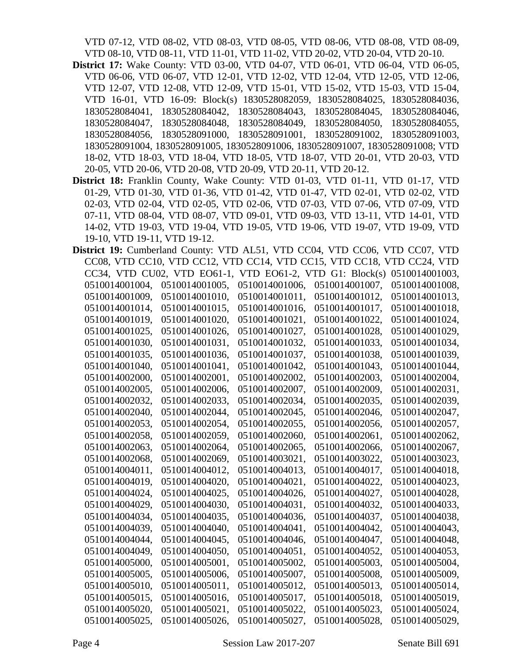VTD 07-12, VTD 08-02, VTD 08-03, VTD 08-05, VTD 08-06, VTD 08-08, VTD 08-09, VTD 08-10, VTD 08-11, VTD 11-01, VTD 11-02, VTD 20-02, VTD 20-04, VTD 20-10.

- **District 17:** Wake County: VTD 03-00, VTD 04-07, VTD 06-01, VTD 06-04, VTD 06-05, VTD 06-06, VTD 06-07, VTD 12-01, VTD 12-02, VTD 12-04, VTD 12-05, VTD 12-06, VTD 12-07, VTD 12-08, VTD 12-09, VTD 15-01, VTD 15-02, VTD 15-03, VTD 15-04, VTD 16-01, VTD 16-09: Block(s) 1830528082059, 1830528084025, 1830528084036, 1830528084041, 1830528084042, 1830528084043, 1830528084045, 1830528084046, 1830528084047, 1830528084048, 1830528084049, 1830528084050, 1830528084055, 1830528084056, 1830528091000, 1830528091001, 1830528091002, 1830528091003, 1830528091004, 1830528091005, 1830528091006, 1830528091007, 1830528091008; VTD 18-02, VTD 18-03, VTD 18-04, VTD 18-05, VTD 18-07, VTD 20-01, VTD 20-03, VTD 20-05, VTD 20-06, VTD 20-08, VTD 20-09, VTD 20-11, VTD 20-12.
- **District 18:** Franklin County, Wake County: VTD 01-03, VTD 01-11, VTD 01-17, VTD 01-29, VTD 01-30, VTD 01-36, VTD 01-42, VTD 01-47, VTD 02-01, VTD 02-02, VTD 02-03, VTD 02-04, VTD 02-05, VTD 02-06, VTD 07-03, VTD 07-06, VTD 07-09, VTD 07-11, VTD 08-04, VTD 08-07, VTD 09-01, VTD 09-03, VTD 13-11, VTD 14-01, VTD 14-02, VTD 19-03, VTD 19-04, VTD 19-05, VTD 19-06, VTD 19-07, VTD 19-09, VTD 19-10, VTD 19-11, VTD 19-12.

| District 19: Cumberland County: VTD AL51, VTD CC04, VTD CC06, VTD CC07, VTD |                                                                       |                |                |                |
|-----------------------------------------------------------------------------|-----------------------------------------------------------------------|----------------|----------------|----------------|
|                                                                             | CC08, VTD CC10, VTD CC12, VTD CC14, VTD CC15, VTD CC18, VTD CC24, VTD |                |                |                |
|                                                                             | CC34, VTD CU02, VTD EO61-1, VTD EO61-2, VTD G1: Block(s)              |                |                | 0510014001003, |
| 0510014001004,                                                              | 0510014001005,                                                        | 0510014001006, | 0510014001007, | 0510014001008, |
| 0510014001009.                                                              | 0510014001010,                                                        | 0510014001011. | 0510014001012. | 0510014001013, |
| 0510014001014,                                                              | 0510014001015.                                                        | 0510014001016, | 0510014001017. | 0510014001018, |
| 0510014001019,                                                              | 0510014001020,                                                        | 0510014001021, | 0510014001022, | 0510014001024, |
| 0510014001025,                                                              | 0510014001026,                                                        | 0510014001027, | 0510014001028, | 0510014001029, |
| 0510014001030,                                                              | 0510014001031,                                                        | 0510014001032, | 0510014001033, | 0510014001034, |
| 0510014001035,                                                              | 0510014001036,                                                        | 0510014001037, | 0510014001038, | 0510014001039, |
| 0510014001040,                                                              | 0510014001041,                                                        | 0510014001042, | 0510014001043, | 0510014001044, |
| 0510014002000,                                                              | 0510014002001,                                                        | 0510014002002, | 0510014002003, | 0510014002004, |
| 0510014002005,                                                              | 0510014002006,                                                        | 0510014002007, | 0510014002009, | 0510014002031, |
| 0510014002032.                                                              | 0510014002033.                                                        | 0510014002034, | 0510014002035. | 0510014002039, |
| 0510014002040,                                                              | 0510014002044,                                                        | 0510014002045, | 0510014002046, | 0510014002047, |
| 0510014002053,                                                              | 0510014002054,                                                        | 0510014002055, | 0510014002056, | 0510014002057, |
| 0510014002058,                                                              | 0510014002059,                                                        | 0510014002060, | 0510014002061, | 0510014002062, |
| 0510014002063,                                                              | 0510014002064,                                                        | 0510014002065, | 0510014002066, | 0510014002067, |
| 0510014002068.                                                              | 0510014002069.                                                        | 0510014003021, | 0510014003022. | 0510014003023, |
| 0510014004011,                                                              | 0510014004012,                                                        | 0510014004013, | 0510014004017, | 0510014004018, |
| 0510014004019,                                                              | 0510014004020,                                                        | 0510014004021, | 0510014004022, | 0510014004023, |
| 0510014004024,                                                              | 0510014004025,                                                        | 0510014004026, | 0510014004027, | 0510014004028, |
| 0510014004029,                                                              | 0510014004030,                                                        | 0510014004031, | 0510014004032, | 0510014004033, |
| 0510014004034,                                                              | 0510014004035,                                                        | 0510014004036, | 0510014004037, | 0510014004038, |
| 0510014004039,                                                              | 0510014004040,                                                        | 0510014004041, | 0510014004042, | 0510014004043, |
| 0510014004044,                                                              | 0510014004045.                                                        | 0510014004046, | 0510014004047, | 0510014004048, |
| 0510014004049,                                                              | 0510014004050,                                                        | 0510014004051, | 0510014004052, | 0510014004053, |
| 0510014005000,                                                              | 0510014005001,                                                        | 0510014005002, | 0510014005003, | 0510014005004, |
| 0510014005005,                                                              | 0510014005006,                                                        | 0510014005007, | 0510014005008, | 0510014005009, |
| 0510014005010,                                                              | 0510014005011,                                                        | 0510014005012, | 0510014005013, | 0510014005014, |
| 0510014005015.                                                              | 0510014005016.                                                        | 0510014005017, | 0510014005018. | 0510014005019, |
| 0510014005020,                                                              | 0510014005021,                                                        | 0510014005022, | 0510014005023, | 0510014005024, |
| 0510014005025.                                                              | 0510014005026,                                                        | 0510014005027. | 0510014005028. | 0510014005029, |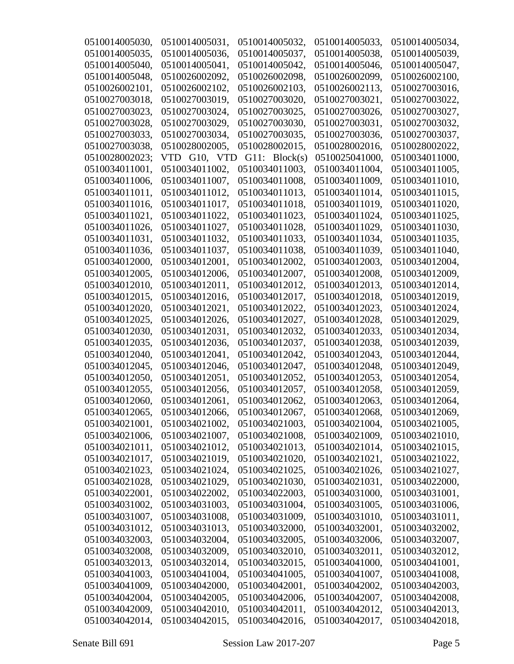| 0510014005030, | 0510014005031, | 0510014005032, | 0510014005033, | 0510014005034, |
|----------------|----------------|----------------|----------------|----------------|
| 0510014005035, | 0510014005036, | 0510014005037, | 0510014005038, | 0510014005039, |
| 0510014005040, | 0510014005041, | 0510014005042, | 0510014005046, | 0510014005047, |
| 0510014005048, | 0510026002092, | 0510026002098, | 0510026002099, | 0510026002100, |
| 0510026002101, | 0510026002102. | 0510026002103, | 0510026002113, | 0510027003016, |
| 0510027003018, | 0510027003019, | 0510027003020, | 0510027003021, | 0510027003022, |
| 0510027003023, | 0510027003024, | 0510027003025, | 0510027003026, | 0510027003027, |
| 0510027003028, | 0510027003029, | 0510027003030, | 0510027003031, | 0510027003032, |
| 0510027003033, | 0510027003034, | 0510027003035, | 0510027003036, | 0510027003037, |
| 0510027003038, | 0510028002005, | 0510028002015, | 0510028002016, | 0510028002022, |
| 0510028002023; | VTD G10, VTD   | G11: Block(s)  | 0510025041000, | 0510034011000, |
| 0510034011001, | 0510034011002, | 0510034011003, | 0510034011004, | 0510034011005, |
| 0510034011006, | 0510034011007, | 0510034011008, | 0510034011009, | 0510034011010, |
| 0510034011011, | 0510034011012, | 0510034011013, | 0510034011014, | 0510034011015, |
| 0510034011016, | 0510034011017, | 0510034011018, | 0510034011019, | 0510034011020, |
| 0510034011021, | 0510034011022, | 0510034011023, | 0510034011024, | 0510034011025, |
| 0510034011026, | 0510034011027, | 0510034011028, | 0510034011029, | 0510034011030, |
| 0510034011031, | 0510034011032, | 0510034011033, | 0510034011034, | 0510034011035, |
| 0510034011036, | 0510034011037, | 0510034011038. | 0510034011039, | 0510034011040, |
| 0510034012000, | 0510034012001, | 0510034012002, | 0510034012003, | 0510034012004, |
| 0510034012005, | 0510034012006, | 0510034012007, | 0510034012008, | 0510034012009, |
| 0510034012010, | 0510034012011, | 0510034012012, | 0510034012013, | 0510034012014, |
| 0510034012015, | 0510034012016, | 0510034012017, | 0510034012018, | 0510034012019, |
| 0510034012020, | 0510034012021, | 0510034012022, | 0510034012023, | 0510034012024, |
| 0510034012025, | 0510034012026, | 0510034012027, | 0510034012028, | 0510034012029, |
| 0510034012030, | 0510034012031, | 0510034012032, | 0510034012033, | 0510034012034, |
| 0510034012035, | 0510034012036, | 0510034012037, | 0510034012038, | 0510034012039, |
| 0510034012040, | 0510034012041, | 0510034012042, | 0510034012043, | 0510034012044, |
| 0510034012045. | 0510034012046, | 0510034012047, | 0510034012048, | 0510034012049, |
| 0510034012050, | 0510034012051, | 0510034012052, | 0510034012053, | 0510034012054, |
| 0510034012055, | 0510034012056, | 0510034012057, | 0510034012058, | 0510034012059, |
| 0510034012060, | 0510034012061, | 0510034012062, | 0510034012063, | 0510034012064, |
| 0510034012065, | 0510034012066, | 0510034012067, | 0510034012068, | 0510034012069, |
| 0510034021001, | 0510034021002, | 0510034021003, | 0510034021004, | 0510034021005, |
| 0510034021006, | 0510034021007, | 0510034021008, | 0510034021009, | 0510034021010, |
| 0510034021011, | 0510034021012, | 0510034021013, | 0510034021014, | 0510034021015, |
| 0510034021017. | 0510034021019, | 0510034021020, | 0510034021021, | 0510034021022, |
| 0510034021023, | 0510034021024, | 0510034021025, | 0510034021026, | 0510034021027, |
| 0510034021028, | 0510034021029, | 0510034021030, | 0510034021031, | 0510034022000, |
| 0510034022001, | 0510034022002, | 0510034022003, | 0510034031000, | 0510034031001, |
| 0510034031002, | 0510034031003, | 0510034031004, | 0510034031005, | 0510034031006, |
| 0510034031007, | 0510034031008, | 0510034031009, | 0510034031010, | 0510034031011, |
| 0510034031012, | 0510034031013, | 0510034032000, | 0510034032001, | 0510034032002, |
| 0510034032003, | 0510034032004, | 0510034032005, | 0510034032006, | 0510034032007, |
| 0510034032008, | 0510034032009, | 0510034032010, | 0510034032011, | 0510034032012, |
| 0510034032013, | 0510034032014, | 0510034032015, | 0510034041000, | 0510034041001, |
| 0510034041003, | 0510034041004, | 0510034041005, | 0510034041007, | 0510034041008, |
| 0510034041009, | 0510034042000, | 0510034042001, | 0510034042002, | 0510034042003, |
| 0510034042004, | 0510034042005, | 0510034042006, | 0510034042007, | 0510034042008, |
| 0510034042009, | 0510034042010, | 0510034042011, | 0510034042012, | 0510034042013, |
| 0510034042014, | 0510034042015, | 0510034042016, | 0510034042017, | 0510034042018, |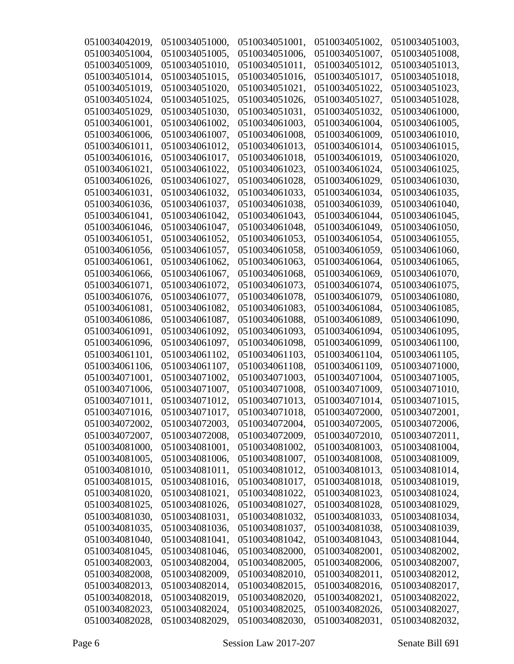| 0510034042019, | 0510034051000, | 0510034051001, | 0510034051002, | 0510034051003, |
|----------------|----------------|----------------|----------------|----------------|
| 0510034051004, | 0510034051005, | 0510034051006, | 0510034051007, | 0510034051008, |
| 0510034051009, | 0510034051010, | 0510034051011, | 0510034051012, | 0510034051013, |
| 0510034051014, | 0510034051015, | 0510034051016, | 0510034051017, | 0510034051018, |
| 0510034051019, | 0510034051020, | 0510034051021, | 0510034051022, | 0510034051023, |
| 0510034051024, | 0510034051025, | 0510034051026, | 0510034051027, | 0510034051028, |
| 0510034051029, | 0510034051030, | 0510034051031, | 0510034051032, | 0510034061000, |
| 0510034061001, | 0510034061002, | 0510034061003, | 0510034061004, | 0510034061005, |
| 0510034061006, | 0510034061007, | 0510034061008, | 0510034061009, | 0510034061010, |
| 0510034061011, | 0510034061012, | 0510034061013, | 0510034061014, | 0510034061015, |
| 0510034061016, | 0510034061017, | 0510034061018, | 0510034061019, | 0510034061020, |
| 0510034061021, | 0510034061022, | 0510034061023, | 0510034061024, | 0510034061025, |
| 0510034061026, | 0510034061027, | 0510034061028, | 0510034061029, | 0510034061030, |
| 0510034061031, | 0510034061032, | 0510034061033, | 0510034061034, | 0510034061035, |
| 0510034061036, | 0510034061037, | 0510034061038, | 0510034061039, | 0510034061040, |
| 0510034061041, | 0510034061042, | 0510034061043, | 0510034061044, | 0510034061045, |
| 0510034061046, | 0510034061047, | 0510034061048, | 0510034061049, | 0510034061050, |
| 0510034061051, | 0510034061052, | 0510034061053, | 0510034061054, | 0510034061055, |
| 0510034061056, | 0510034061057, | 0510034061058, | 0510034061059. | 0510034061060, |
| 0510034061061, | 0510034061062, | 0510034061063, | 0510034061064, | 0510034061065. |
| 0510034061066, | 0510034061067, | 0510034061068, | 0510034061069. | 0510034061070, |
| 0510034061071, | 0510034061072, | 0510034061073, | 0510034061074, | 0510034061075, |
| 0510034061076, | 0510034061077, | 0510034061078, | 0510034061079, | 0510034061080, |
| 0510034061081, | 0510034061082, | 0510034061083, | 0510034061084, | 0510034061085, |
| 0510034061086, | 0510034061087, | 0510034061088, | 0510034061089, | 0510034061090, |
| 0510034061091, | 0510034061092, | 0510034061093, | 0510034061094, | 0510034061095, |
| 0510034061096, | 0510034061097, | 0510034061098, | 0510034061099, | 0510034061100, |
| 0510034061101, | 0510034061102, | 0510034061103, | 0510034061104, | 0510034061105, |
| 0510034061106, | 0510034061107, | 0510034061108, | 0510034061109, | 0510034071000, |
| 0510034071001, | 0510034071002, | 0510034071003, | 0510034071004, | 0510034071005, |
| 0510034071006, | 0510034071007, | 0510034071008, | 0510034071009, | 0510034071010, |
| 0510034071011, | 0510034071012, | 0510034071013, | 0510034071014, | 0510034071015, |
| 0510034071016, | 0510034071017, | 0510034071018, | 0510034072000, | 0510034072001, |
| 0510034072002, | 0510034072003, | 0510034072004, | 0510034072005, | 0510034072006, |
| 0510034072007, | 0510034072008, | 0510034072009, | 0510034072010, | 0510034072011, |
| 0510034081000, | 0510034081001, | 0510034081002, | 0510034081003, | 0510034081004, |
| 0510034081005, | 0510034081006, | 0510034081007, | 0510034081008, | 0510034081009, |
| 0510034081010, | 0510034081011, | 0510034081012, | 0510034081013, | 0510034081014, |
| 0510034081015, | 0510034081016, | 0510034081017, | 0510034081018, | 0510034081019, |
| 0510034081020, | 0510034081021, | 0510034081022, | 0510034081023, | 0510034081024, |
| 0510034081025, | 0510034081026, | 0510034081027, | 0510034081028, | 0510034081029, |
| 0510034081030, | 0510034081031, | 0510034081032, | 0510034081033, | 0510034081034, |
| 0510034081035, | 0510034081036, | 0510034081037, | 0510034081038, | 0510034081039, |
| 0510034081040, | 0510034081041, | 0510034081042, | 0510034081043, | 0510034081044, |
| 0510034081045, | 0510034081046, | 0510034082000, | 0510034082001, | 0510034082002, |
| 0510034082003, | 0510034082004, | 0510034082005, | 0510034082006, | 0510034082007, |
| 0510034082008, | 0510034082009, | 0510034082010, | 0510034082011, | 0510034082012, |
| 0510034082013, | 0510034082014, | 0510034082015, | 0510034082016, | 0510034082017, |
| 0510034082018, | 0510034082019, | 0510034082020, | 0510034082021, | 0510034082022, |
| 0510034082023, | 0510034082024, | 0510034082025, | 0510034082026, | 0510034082027, |
| 0510034082028, | 0510034082029, | 0510034082030, | 0510034082031, | 0510034082032, |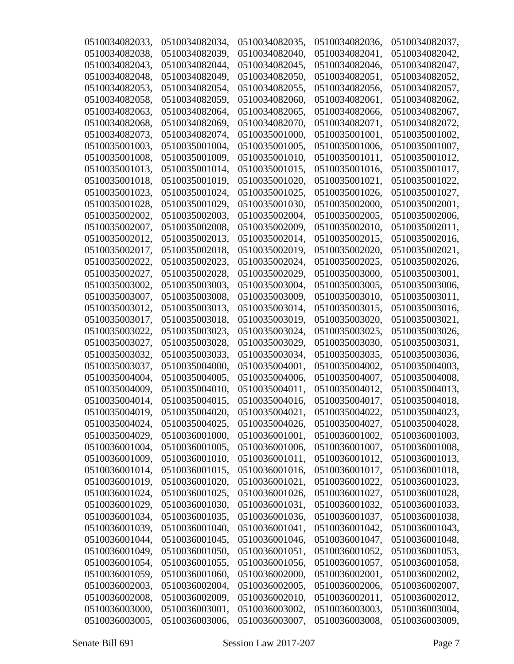| 0510034082033, | 0510034082034, | 0510034082035, | 0510034082036, | 0510034082037, |
|----------------|----------------|----------------|----------------|----------------|
| 0510034082038, | 0510034082039, | 0510034082040, | 0510034082041, | 0510034082042, |
| 0510034082043, | 0510034082044, | 0510034082045, | 0510034082046, | 0510034082047, |
| 0510034082048, | 0510034082049, | 0510034082050, | 0510034082051, | 0510034082052, |
| 0510034082053, | 0510034082054, | 0510034082055, | 0510034082056, | 0510034082057, |
| 0510034082058, | 0510034082059, | 0510034082060, | 0510034082061, | 0510034082062, |
| 0510034082063, | 0510034082064, | 0510034082065, | 0510034082066, | 0510034082067, |
| 0510034082068, | 0510034082069. | 0510034082070, | 0510034082071, | 0510034082072. |
| 0510034082073, | 0510034082074, | 0510035001000, | 0510035001001, | 0510035001002, |
| 0510035001003, | 0510035001004, | 0510035001005, | 0510035001006, | 0510035001007, |
| 0510035001008, | 0510035001009, | 0510035001010, | 0510035001011, | 0510035001012, |
| 0510035001013, | 0510035001014, | 0510035001015, | 0510035001016, | 0510035001017, |
| 0510035001018, | 0510035001019, | 0510035001020, | 0510035001021, | 0510035001022, |
| 0510035001023, | 0510035001024, | 0510035001025, | 0510035001026, | 0510035001027, |
| 0510035001028, | 0510035001029, | 0510035001030, | 0510035002000, | 0510035002001, |
| 0510035002002, | 0510035002003, | 0510035002004, | 0510035002005, | 0510035002006, |
| 0510035002007, | 0510035002008, | 0510035002009, | 0510035002010, | 0510035002011, |
| 0510035002012, | 0510035002013. | 0510035002014, | 0510035002015, | 0510035002016, |
| 0510035002017, | 0510035002018, | 0510035002019, | 0510035002020, | 0510035002021. |
| 0510035002022, | 0510035002023, | 0510035002024, | 0510035002025, | 0510035002026, |
| 0510035002027, | 0510035002028, | 0510035002029, | 0510035003000, | 0510035003001, |
| 0510035003002, | 0510035003003, | 0510035003004, | 0510035003005, | 0510035003006, |
| 0510035003007, | 0510035003008, | 0510035003009, | 0510035003010, | 0510035003011, |
| 0510035003012, | 0510035003013, | 0510035003014, | 0510035003015, | 0510035003016, |
| 0510035003017, | 0510035003018, | 0510035003019, | 0510035003020, | 0510035003021, |
| 0510035003022, | 0510035003023, | 0510035003024, | 0510035003025, | 0510035003026, |
| 0510035003027, | 0510035003028, | 0510035003029, | 0510035003030, | 0510035003031, |
| 0510035003032, | 0510035003033, | 0510035003034, | 0510035003035, | 0510035003036, |
| 0510035003037, | 0510035004000, | 0510035004001, | 0510035004002, | 0510035004003, |
| 0510035004004, | 0510035004005, | 0510035004006, | 0510035004007, | 0510035004008, |
| 0510035004009, | 0510035004010, | 0510035004011, | 0510035004012, | 0510035004013, |
| 0510035004014, | 0510035004015, | 0510035004016, | 0510035004017, | 0510035004018, |
| 0510035004019  | 0510035004020, | 0510035004021, | 0510035004022, | 0510035004023, |
| 0510035004024, | 0510035004025, | 0510035004026, | 0510035004027, | 0510035004028, |
| 0510035004029, | 0510036001000, | 0510036001001, | 0510036001002, | 0510036001003, |
| 0510036001004, | 0510036001005, | 0510036001006, | 0510036001007, | 0510036001008, |
| 0510036001009, | 0510036001010, | 0510036001011, | 0510036001012, | 0510036001013, |
| 0510036001014, | 0510036001015, | 0510036001016, | 0510036001017, | 0510036001018, |
| 0510036001019, | 0510036001020, | 0510036001021, | 0510036001022, | 0510036001023, |
| 0510036001024, | 0510036001025, | 0510036001026, | 0510036001027, | 0510036001028, |
| 0510036001029, | 0510036001030, | 0510036001031, | 0510036001032, | 0510036001033, |
| 0510036001034, | 0510036001035, | 0510036001036, | 0510036001037, | 0510036001038, |
| 0510036001039, | 0510036001040, | 0510036001041, | 0510036001042, | 0510036001043, |
| 0510036001044, | 0510036001045, | 0510036001046, | 0510036001047, | 0510036001048, |
| 0510036001049, | 0510036001050, | 0510036001051, | 0510036001052, | 0510036001053, |
| 0510036001054, | 0510036001055, | 0510036001056, | 0510036001057, | 0510036001058, |
| 0510036001059, | 0510036001060, | 0510036002000, | 0510036002001, | 0510036002002, |
| 0510036002003, | 0510036002004, | 0510036002005, | 0510036002006, | 0510036002007, |
| 0510036002008, | 0510036002009, | 0510036002010, | 0510036002011, | 0510036002012, |
| 0510036003000, | 0510036003001, | 0510036003002, | 0510036003003, | 0510036003004, |
| 0510036003005, | 0510036003006, | 0510036003007, | 0510036003008, | 0510036003009, |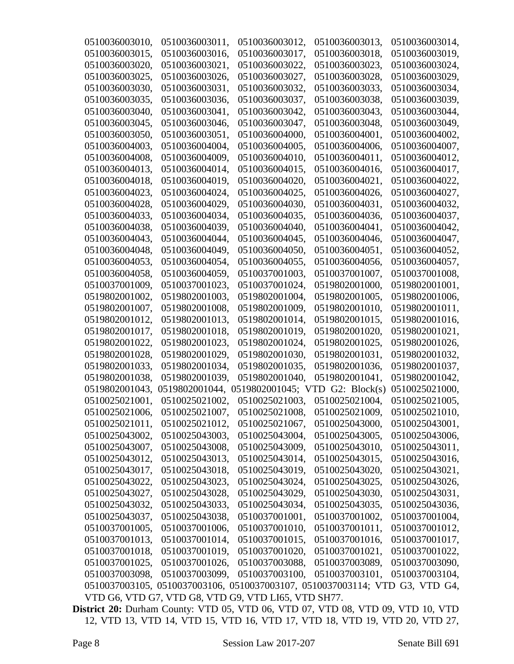| 0510036003010, | 0510036003011, | 0510036003012,                                                              | 0510036003013, | 0510036003014, |
|----------------|----------------|-----------------------------------------------------------------------------|----------------|----------------|
| 0510036003015, | 0510036003016, | 0510036003017,                                                              | 0510036003018. | 0510036003019, |
| 0510036003020, | 0510036003021, | 0510036003022,                                                              | 0510036003023, | 0510036003024, |
| 0510036003025, | 0510036003026, | 0510036003027,                                                              | 0510036003028, | 0510036003029, |
| 0510036003030, | 0510036003031, | 0510036003032,                                                              | 0510036003033, | 0510036003034, |
| 0510036003035, | 0510036003036, | 0510036003037,                                                              | 0510036003038, | 0510036003039, |
| 0510036003040, | 0510036003041, | 0510036003042,                                                              | 0510036003043, | 0510036003044, |
| 0510036003045, | 0510036003046, | 0510036003047,                                                              | 0510036003048, | 0510036003049, |
| 0510036003050, | 0510036003051, | 0510036004000,                                                              | 0510036004001, | 0510036004002, |
| 0510036004003, | 0510036004004, | 0510036004005,                                                              | 0510036004006, | 0510036004007, |
| 0510036004008, | 0510036004009, | 0510036004010,                                                              | 0510036004011, | 0510036004012. |
| 0510036004013, | 0510036004014, | 0510036004015,                                                              | 0510036004016, | 0510036004017, |
| 0510036004018, | 0510036004019, | 0510036004020,                                                              | 0510036004021, | 0510036004022, |
| 0510036004023, | 0510036004024, | 0510036004025,                                                              | 0510036004026, | 0510036004027, |
| 0510036004028, | 0510036004029, | 0510036004030,                                                              | 0510036004031, | 0510036004032, |
| 0510036004033, | 0510036004034, | 0510036004035,                                                              | 0510036004036, | 0510036004037, |
| 0510036004038, | 0510036004039, | 0510036004040,                                                              | 0510036004041, | 0510036004042. |
| 0510036004043, | 0510036004044, | 0510036004045,                                                              | 0510036004046, | 0510036004047, |
| 0510036004048, | 0510036004049, | 0510036004050,                                                              | 0510036004051, | 0510036004052, |
| 0510036004053, | 0510036004054, | 0510036004055,                                                              | 0510036004056, | 0510036004057, |
| 0510036004058, | 0510036004059, | 0510037001003,                                                              | 0510037001007, | 0510037001008, |
| 0510037001009, | 0510037001023, | 0510037001024,                                                              | 0519802001000, | 0519802001001, |
| 0519802001002, | 0519802001003, | 0519802001004,                                                              | 0519802001005, | 0519802001006, |
| 0519802001007, | 0519802001008, | 0519802001009,                                                              | 0519802001010, | 0519802001011, |
| 0519802001012, | 0519802001013, | 0519802001014,                                                              | 0519802001015, | 0519802001016, |
| 0519802001017, | 0519802001018, | 0519802001019,                                                              | 0519802001020, | 0519802001021, |
| 0519802001022, | 0519802001023, | 0519802001024,                                                              | 0519802001025, | 0519802001026, |
| 0519802001028, | 0519802001029, | 0519802001030,                                                              | 0519802001031, | 0519802001032, |
| 0519802001033, | 0519802001034, | 0519802001035,                                                              | 0519802001036, | 0519802001037, |
| 0519802001038, | 0519802001039, | 0519802001040,                                                              | 0519802001041, | 0519802001042, |
| 0519802001043, | 0519802001044, | 0519802001045; VTD G2: Block(s)                                             |                | 0510025021000, |
| 0510025021001, | 0510025021002, | 0510025021003,                                                              | 0510025021004, | 0510025021005, |
| 0510025021006, | 0510025021007, | 0510025021008,                                                              | 0510025021009, | 0510025021010, |
| 0510025021011, | 0510025021012, | 0510025021067,                                                              | 0510025043000, | 0510025043001, |
| 0510025043002, | 0510025043003, | 0510025043004,                                                              | 0510025043005, | 0510025043006, |
| 0510025043007, | 0510025043008, | 0510025043009,                                                              | 0510025043010, | 0510025043011, |
| 0510025043012, | 0510025043013, | 0510025043014,                                                              | 0510025043015, | 0510025043016, |
| 0510025043017, | 0510025043018, | 0510025043019,                                                              | 0510025043020, | 0510025043021, |
| 0510025043022, | 0510025043023, | 0510025043024,                                                              | 0510025043025, | 0510025043026, |
| 0510025043027, | 0510025043028, | 0510025043029,                                                              | 0510025043030, | 0510025043031, |
| 0510025043032, | 0510025043033, | 0510025043034,                                                              | 0510025043035, | 0510025043036, |
| 0510025043037, | 0510025043038, | 0510037001001,                                                              | 0510037001002, | 0510037001004, |
| 0510037001005, | 0510037001006, | 0510037001010,                                                              | 0510037001011, | 0510037001012, |
| 0510037001013, | 0510037001014, | 0510037001015,                                                              | 0510037001016, | 0510037001017, |
| 0510037001018, | 0510037001019, | 0510037001020,                                                              | 0510037001021, | 0510037001022, |
| 0510037001025, | 0510037001026, | 0510037003088,                                                              | 0510037003089, | 0510037003090, |
| 0510037003098, | 0510037003099, | 0510037003100,                                                              | 0510037003101, | 0510037003104, |
|                |                | 0510037003105, 0510037003106, 0510037003107, 0510037003114; VTD G3, VTD G4, |                |                |
|                |                | VTD G6, VTD G7, VTD G8, VTD G9, VTD LI65, VTD SH77.                         |                |                |

**District 20:** Durham County: VTD 05, VTD 06, VTD 07, VTD 08, VTD 09, VTD 10, VTD 12, VTD 13, VTD 14, VTD 15, VTD 16, VTD 17, VTD 18, VTD 19, VTD 20, VTD 27,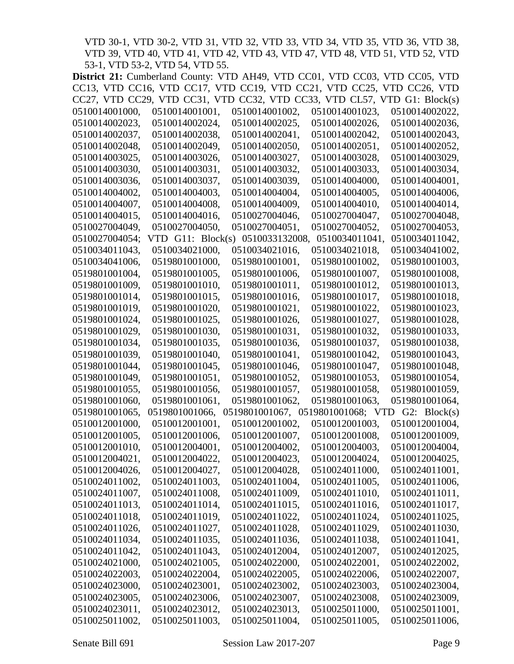VTD 30-1, VTD 30-2, VTD 31, VTD 32, VTD 33, VTD 34, VTD 35, VTD 36, VTD 38, VTD 39, VTD 40, VTD 41, VTD 42, VTD 43, VTD 47, VTD 48, VTD 51, VTD 52, VTD 53-1, VTD 53-2, VTD 54, VTD 55.

|                | District 21: Cumberland County: VTD AH49, VTD CC01, VTD CC03, VTD CC05, VTD |                                   |                |                                  |                |                |
|----------------|-----------------------------------------------------------------------------|-----------------------------------|----------------|----------------------------------|----------------|----------------|
|                | CC13, VTD CC16, VTD CC17, VTD CC19, VTD CC21, VTD CC25, VTD CC26, VTD       |                                   |                |                                  |                |                |
|                | CC27, VTD CC29, VTD CC31, VTD CC32, VTD CC33, VTD CL57, VTD G1: Block(s)    |                                   |                |                                  |                |                |
| 0510014001000, | 0510014001001,                                                              | 0510014001002,                    |                | 0510014001023,                   |                | 0510014002022, |
| 0510014002023, | 0510014002024,                                                              | 0510014002025,                    |                | 0510014002026,                   |                | 0510014002036, |
| 0510014002037, | 0510014002038,                                                              | 0510014002041,                    |                | 0510014002042,                   |                | 0510014002043, |
| 0510014002048, | 0510014002049,                                                              | 0510014002050,                    |                | 0510014002051,                   |                | 0510014002052, |
| 0510014003025, | 0510014003026,                                                              | 0510014003027,                    |                | 0510014003028,                   |                | 0510014003029, |
| 0510014003030, | 0510014003031,                                                              | 0510014003032,                    |                | 0510014003033,                   |                | 0510014003034, |
| 0510014003036, | 0510014003037,                                                              | 0510014003039,                    |                | 0510014004000,                   |                | 0510014004001, |
| 0510014004002, | 0510014004003,                                                              | 0510014004004,                    |                | 0510014004005,                   |                | 0510014004006, |
| 0510014004007, | 0510014004008,                                                              | 0510014004009,                    |                | 0510014004010,                   |                | 0510014004014, |
| 0510014004015, | 0510014004016,                                                              | 0510027004046,                    |                | 0510027004047,                   |                | 0510027004048, |
| 0510027004049, | 0510027004050,                                                              | 0510027004051,                    |                | 0510027004052,                   |                | 0510027004053, |
| 0510027004054; | VTD $G11: Block(s)$                                                         |                                   | 0510033132008, |                                  | 0510034011041, | 0510034011042, |
| 0510034011043, | 0510034021000,                                                              | 0510034021016,                    |                | 0510034021018,                   |                | 0510034041002, |
| 0510034041006, | 0519801001000,                                                              | 0519801001001,                    |                | 0519801001002,                   |                | 0519801001003, |
| 0519801001004, | 0519801001005,                                                              | 0519801001006,                    |                | 0519801001007,                   |                | 0519801001008, |
| 0519801001009, | 0519801001010,                                                              | 0519801001011,                    |                | 0519801001012,                   |                | 0519801001013, |
| 0519801001014, | 0519801001015,                                                              | 0519801001016,                    |                | 0519801001017,                   |                | 0519801001018. |
| 0519801001019, | 0519801001020,                                                              | 0519801001021,                    |                | 0519801001022,                   |                | 0519801001023, |
| 0519801001024, | 0519801001025,                                                              | 0519801001026,                    |                | 0519801001027,                   |                | 0519801001028, |
| 0519801001029, | 0519801001030,                                                              | 0519801001031,                    |                | 0519801001032,                   |                | 0519801001033, |
| 0519801001034, | 0519801001035,                                                              | 0519801001036,                    |                | 0519801001037,                   |                | 0519801001038, |
| 0519801001039, | 0519801001040,                                                              | 0519801001041,                    |                | 0519801001042,                   |                | 0519801001043, |
| 0519801001044, | 0519801001045,                                                              | 0519801001046,                    |                | 0519801001047,                   |                | 0519801001048, |
| 0519801001049, | 0519801001051,                                                              | 0519801001052,                    |                | 0519801001053,                   |                | 0519801001054, |
| 0519801001055, | 0519801001056,                                                              | 0519801001057,                    |                | 0519801001058,                   |                | 0519801001059, |
| 0519801001060, | 0519801001061,                                                              | 0519801001062,                    |                | 0519801001063,                   |                | 0519801001064, |
| 0519801001065, |                                                                             | 0519801001067, 0519801001068; VTD |                |                                  |                | G2: Block(s)   |
|                | 0519801001066,                                                              |                                   |                |                                  |                |                |
| 0510012001000, | 0510012001001,                                                              | 0510012001002,                    |                | 0510012001003,<br>0510012001008, |                | 0510012001004, |
| 0510012001005, | 0510012001006,                                                              | 0510012001007,                    |                |                                  |                | 0510012001009, |
| 0510012001010, | 0510012004001,                                                              | 0510012004002,                    |                | 0510012004003,                   |                | 0510012004004, |
| 0510012004021, | 0510012004022,                                                              | 0510012004023,                    |                | 0510012004024,                   |                | 0510012004025, |
| 0510012004026, | 0510012004027,                                                              | 0510012004028,                    |                | 0510024011000,                   |                | 0510024011001, |
| 0510024011002, | 0510024011003,                                                              | 0510024011004,                    |                | 0510024011005,                   |                | 0510024011006, |
| 0510024011007, | 0510024011008,                                                              | 0510024011009,                    |                | 0510024011010,                   |                | 0510024011011, |
| 0510024011013, | 0510024011014,                                                              | 0510024011015,                    |                | 0510024011016,                   |                | 0510024011017, |
| 0510024011018, | 0510024011019,                                                              | 0510024011022,                    |                | 0510024011024,                   |                | 0510024011025, |
| 0510024011026, | 0510024011027,                                                              | 0510024011028,                    |                | 0510024011029,                   |                | 0510024011030, |
| 0510024011034, | 0510024011035,                                                              | 0510024011036,                    |                | 0510024011038,                   |                | 0510024011041, |
| 0510024011042, | 0510024011043,                                                              | 0510024012004,                    |                | 0510024012007,                   |                | 0510024012025, |
| 0510024021000, | 0510024021005,                                                              | 0510024022000,                    |                | 0510024022001,                   |                | 0510024022002, |
| 0510024022003, | 0510024022004,                                                              | 0510024022005,                    |                | 0510024022006,                   |                | 0510024022007, |
| 0510024023000, | 0510024023001,                                                              | 0510024023002,                    |                | 0510024023003,                   |                | 0510024023004, |
| 0510024023005, | 0510024023006,                                                              | 0510024023007,                    |                | 0510024023008,                   |                | 0510024023009, |
| 0510024023011, | 0510024023012,                                                              | 0510024023013,                    |                | 0510025011000,                   |                | 0510025011001, |
| 0510025011002, | 0510025011003,                                                              | 0510025011004,                    |                | 0510025011005,                   |                | 0510025011006, |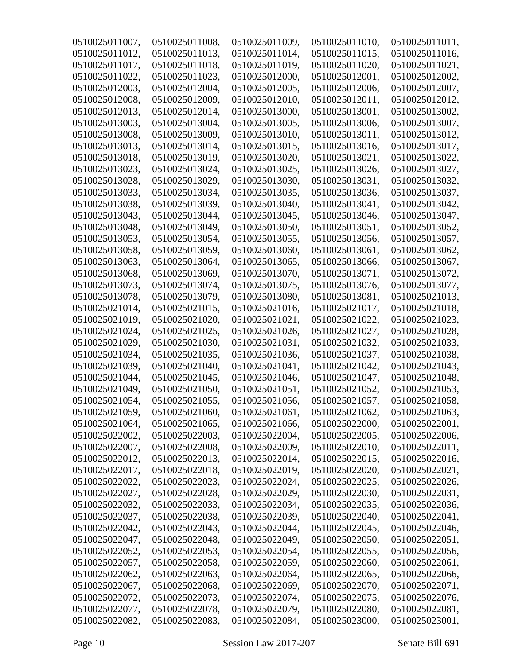| 0510025011007, | 0510025011008, | 0510025011009, | 0510025011010, | 0510025011011, |
|----------------|----------------|----------------|----------------|----------------|
| 0510025011012, | 0510025011013, | 0510025011014, | 0510025011015, | 0510025011016. |
| 0510025011017, | 0510025011018, | 0510025011019, | 0510025011020, | 0510025011021, |
| 0510025011022, | 0510025011023, | 0510025012000, | 0510025012001, | 0510025012002, |
| 0510025012003, | 0510025012004, | 0510025012005, | 0510025012006, | 0510025012007, |
| 0510025012008, | 0510025012009, | 0510025012010, | 0510025012011, | 0510025012012, |
| 0510025012013, | 0510025012014, | 0510025013000, | 0510025013001, | 0510025013002, |
| 0510025013003, | 0510025013004, | 0510025013005, | 0510025013006, | 0510025013007, |
| 0510025013008, | 0510025013009, | 0510025013010, | 0510025013011, | 0510025013012, |
| 0510025013013, | 0510025013014, | 0510025013015, | 0510025013016, | 0510025013017, |
| 0510025013018, | 0510025013019, | 0510025013020, | 0510025013021, | 0510025013022, |
| 0510025013023, | 0510025013024, | 0510025013025, | 0510025013026, | 0510025013027, |
| 0510025013028, | 0510025013029, | 0510025013030, | 0510025013031, | 0510025013032, |
| 0510025013033, | 0510025013034, | 0510025013035, | 0510025013036, | 0510025013037, |
| 0510025013038, | 0510025013039, | 0510025013040, | 0510025013041, | 0510025013042, |
| 0510025013043, | 0510025013044, | 0510025013045, | 0510025013046, | 0510025013047, |
| 0510025013048, | 0510025013049, | 0510025013050, | 0510025013051, | 0510025013052, |
| 0510025013053, | 0510025013054, | 0510025013055, | 0510025013056. | 0510025013057, |
| 0510025013058, | 0510025013059, | 0510025013060, | 0510025013061, | 0510025013062, |
| 0510025013063, | 0510025013064, | 0510025013065, | 0510025013066, | 0510025013067, |
| 0510025013068, | 0510025013069, | 0510025013070, | 0510025013071, | 0510025013072, |
| 0510025013073, | 0510025013074, | 0510025013075, | 0510025013076, | 0510025013077, |
| 0510025013078, | 0510025013079, | 0510025013080, | 0510025013081, | 0510025021013, |
| 0510025021014, | 0510025021015, | 0510025021016, | 0510025021017, | 0510025021018, |
| 0510025021019, | 0510025021020, | 0510025021021, | 0510025021022, | 0510025021023, |
| 0510025021024, | 0510025021025, | 0510025021026, | 0510025021027, | 0510025021028, |
| 0510025021029, | 0510025021030, | 0510025021031, | 0510025021032, | 0510025021033, |
| 0510025021034, | 0510025021035, | 0510025021036, | 0510025021037, | 0510025021038, |
| 0510025021039, | 0510025021040, | 0510025021041, | 0510025021042, | 0510025021043, |
| 0510025021044, | 0510025021045, | 0510025021046, | 0510025021047, | 0510025021048, |
| 0510025021049, | 0510025021050, | 0510025021051, | 0510025021052, | 0510025021053, |
| 0510025021054, | 0510025021055, | 0510025021056, | 0510025021057, | 0510025021058, |
| 0510025021059, | 0510025021060, | 0510025021061, | 0510025021062, | 0510025021063, |
| 0510025021064, | 0510025021065, | 0510025021066, | 0510025022000, | 0510025022001, |
| 0510025022002, | 0510025022003, | 0510025022004, | 0510025022005, | 0510025022006, |
| 0510025022007, | 0510025022008, | 0510025022009, | 0510025022010, | 0510025022011, |
| 0510025022012, | 0510025022013, | 0510025022014, | 0510025022015, | 0510025022016, |
| 0510025022017, | 0510025022018, | 0510025022019, | 0510025022020, | 0510025022021, |
| 0510025022022, | 0510025022023, | 0510025022024, | 0510025022025, | 0510025022026, |
| 0510025022027, | 0510025022028, | 0510025022029, | 0510025022030, | 0510025022031, |
| 0510025022032, | 0510025022033, | 0510025022034, | 0510025022035, | 0510025022036, |
| 0510025022037, | 0510025022038, | 0510025022039, | 0510025022040, | 0510025022041, |
| 0510025022042, | 0510025022043, | 0510025022044, | 0510025022045, | 0510025022046, |
| 0510025022047, | 0510025022048, | 0510025022049, | 0510025022050, | 0510025022051, |
| 0510025022052, | 0510025022053, | 0510025022054, | 0510025022055, | 0510025022056, |
| 0510025022057, | 0510025022058, | 0510025022059, | 0510025022060, | 0510025022061, |
| 0510025022062, | 0510025022063, | 0510025022064, | 0510025022065, | 0510025022066, |
| 0510025022067, | 0510025022068, | 0510025022069, | 0510025022070, | 0510025022071, |
| 0510025022072, | 0510025022073, | 0510025022074, | 0510025022075, | 0510025022076, |
| 0510025022077, | 0510025022078, | 0510025022079, | 0510025022080, | 0510025022081, |
| 0510025022082, | 0510025022083, | 0510025022084, | 0510025023000, | 0510025023001, |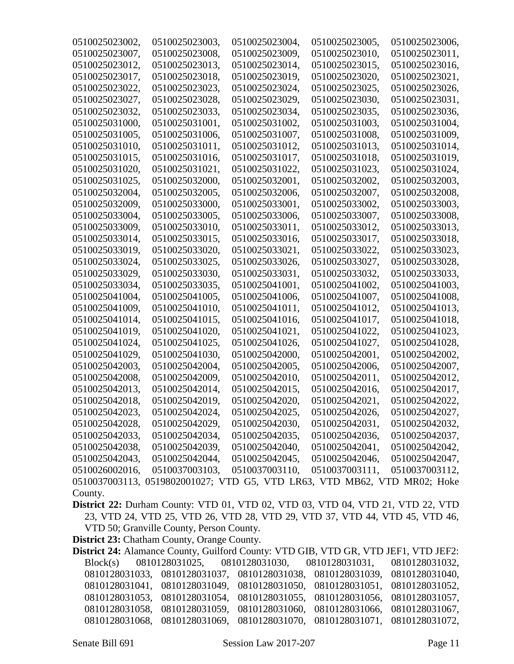| 0510025023002,                                                                                                                            | 0510025023003,                                                           | 0510025023004,                | 0510025023005, | 0510025023006, |  |
|-------------------------------------------------------------------------------------------------------------------------------------------|--------------------------------------------------------------------------|-------------------------------|----------------|----------------|--|
| 0510025023007,                                                                                                                            | 0510025023008,                                                           | 0510025023009,                | 0510025023010, | 0510025023011, |  |
| 0510025023012,                                                                                                                            | 0510025023013,                                                           | 0510025023014,                | 0510025023015, | 0510025023016, |  |
| 0510025023017,                                                                                                                            | 0510025023018,                                                           | 0510025023019,                | 0510025023020, | 0510025023021, |  |
| 0510025023022,                                                                                                                            | 0510025023023,                                                           | 0510025023024,                | 0510025023025, | 0510025023026, |  |
| 0510025023027,                                                                                                                            | 0510025023028,                                                           | 0510025023029,                | 0510025023030, | 0510025023031, |  |
| 0510025023032,                                                                                                                            | 0510025023033,                                                           | 0510025023034,                | 0510025023035, | 0510025023036, |  |
| 0510025031000,                                                                                                                            | 0510025031001,                                                           | 0510025031002,                | 0510025031003, | 0510025031004, |  |
| 0510025031005,                                                                                                                            | 0510025031006,                                                           | 0510025031007,                | 0510025031008, | 0510025031009, |  |
| 0510025031010,                                                                                                                            | 0510025031011,                                                           | 0510025031012,                | 0510025031013, | 0510025031014, |  |
| 0510025031015,                                                                                                                            | 0510025031016.                                                           | 0510025031017,                | 0510025031018, | 0510025031019, |  |
| 0510025031020,                                                                                                                            | 0510025031021,                                                           | 0510025031022,                | 0510025031023, | 0510025031024, |  |
| 0510025031025,                                                                                                                            | 0510025032000,                                                           | 0510025032001,                | 0510025032002, | 0510025032003, |  |
| 0510025032004,                                                                                                                            | 0510025032005,                                                           | 0510025032006,                | 0510025032007, | 0510025032008, |  |
| 0510025032009,                                                                                                                            | 0510025033000,                                                           | 0510025033001,                | 0510025033002, | 0510025033003, |  |
| 0510025033004,                                                                                                                            | 0510025033005,                                                           | 0510025033006,                | 0510025033007, | 0510025033008, |  |
| 0510025033009,                                                                                                                            | 0510025033010,                                                           | 0510025033011,                | 0510025033012, | 0510025033013, |  |
| 0510025033014,                                                                                                                            | 0510025033015,                                                           | 0510025033016.                | 0510025033017, | 0510025033018, |  |
| 0510025033019,                                                                                                                            | 0510025033020,                                                           | 0510025033021,                | 0510025033022, | 0510025033023, |  |
| 0510025033024,                                                                                                                            | 0510025033025,                                                           | 0510025033026,                | 0510025033027, | 0510025033028, |  |
| 0510025033029,                                                                                                                            | 0510025033030,                                                           | 0510025033031,                | 0510025033032, | 0510025033033, |  |
| 0510025033034,                                                                                                                            | 0510025033035,                                                           | 0510025041001,                | 0510025041002, | 0510025041003, |  |
| 0510025041004,                                                                                                                            | 0510025041005,                                                           | 0510025041006,                | 0510025041007, | 0510025041008, |  |
| 0510025041009,                                                                                                                            | 0510025041010,                                                           | 0510025041011,                | 0510025041012, | 0510025041013, |  |
| 0510025041014,                                                                                                                            | 0510025041015,                                                           | 0510025041016,                | 0510025041017, | 0510025041018, |  |
| 0510025041019,                                                                                                                            | 0510025041020,                                                           | 0510025041021,                | 0510025041022, | 0510025041023, |  |
| 0510025041024,                                                                                                                            | 0510025041025,                                                           | 0510025041026,                | 0510025041027, | 0510025041028, |  |
| 0510025041029,                                                                                                                            | 0510025041030,                                                           | 0510025042000,                | 0510025042001, | 0510025042002, |  |
| 0510025042003,                                                                                                                            | 0510025042004,                                                           | 0510025042005,                | 0510025042006, | 0510025042007, |  |
| 0510025042008,                                                                                                                            | 0510025042009,                                                           | 0510025042010,                | 0510025042011, | 0510025042012, |  |
| 0510025042013,                                                                                                                            | 0510025042014,                                                           | 0510025042015,                | 0510025042016, | 0510025042017, |  |
| 0510025042018,                                                                                                                            | 0510025042019,                                                           | 0510025042020,                | 0510025042021, | 0510025042022, |  |
| 0510025042023,                                                                                                                            | 0510025042024,                                                           | 0510025042025,                | 0510025042026, | 0510025042027, |  |
| 0510025042028,                                                                                                                            | 0510025042029,                                                           | 0510025042030,                | 0510025042031, | 0510025042032, |  |
| 0510025042033,                                                                                                                            | 0510025042034,                                                           | 0510025042035,                | 0510025042036, | 0510025042037, |  |
| 0510025042038,                                                                                                                            | 0510025042039,                                                           | 0510025042040,                | 0510025042041, | 0510025042042, |  |
| 0510025042043,                                                                                                                            | 0510025042044,                                                           | 0510025042045,                | 0510025042046, | 0510025042047, |  |
| 0510026002016,                                                                                                                            | 0510037003103,                                                           | 0510037003110,                | 0510037003111, | 0510037003112, |  |
|                                                                                                                                           | 0510037003113, 0519802001027; VTD G5, VTD LR63, VTD MB62, VTD MR02; Hoke |                               |                |                |  |
| County.                                                                                                                                   |                                                                          |                               |                |                |  |
| District 22: Durham County: VTD 01, VTD 02, VTD 03, VTD 04, VTD 21, VTD 22, VTD                                                           |                                                                          |                               |                |                |  |
| 23, VTD 24, VTD 25, VTD 26, VTD 28, VTD 29, VTD 37, VTD 44, VTD 45, VTD 46,                                                               |                                                                          |                               |                |                |  |
| VTD 50; Granville County, Person County.                                                                                                  |                                                                          |                               |                |                |  |
| <b>District 23: Chatham County, Orange County.</b><br>District 24: Alamance County, Guilford County: VTD GIB, VTD GR, VTD JEF1, VTD JEF2: |                                                                          |                               |                |                |  |
|                                                                                                                                           |                                                                          |                               |                |                |  |
| Block(s)                                                                                                                                  | 0810128031025,                                                           | 0810128031030, 0810128031031, |                | 0810128031032, |  |
| 0810128031033, 0810128031037, 0810128031038, 0810128031039,<br>0810128031040,                                                             |                                                                          |                               |                |                |  |

| 0810128031041,0810128031049,0810128031050,0810128031051,0810128031052,                                                                                   |  |  |
|----------------------------------------------------------------------------------------------------------------------------------------------------------|--|--|
| 0810128031053, 0810128031054, 0810128031055, 0810128031056, 0810128031057,<br>0810128031058, 0810128031059, 0810128031060, 0810128031066, 0810128031067, |  |  |
| 0810128031068,0810128031069,0810128031070,0810128031071,0810128031072,                                                                                   |  |  |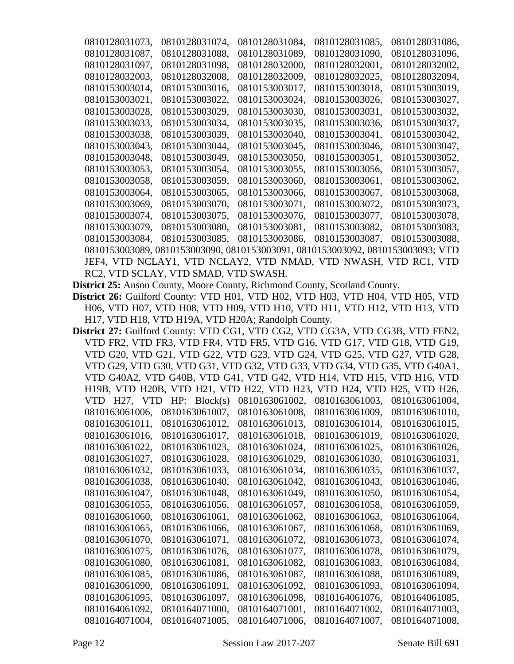| 0810128031073,                       | 0810128031074,                                                                 | 0810128031084, | 0810128031085, | 0810128031086, |
|--------------------------------------|--------------------------------------------------------------------------------|----------------|----------------|----------------|
| 0810128031087.                       | 0810128031088.                                                                 | 0810128031089, | 0810128031090, | 0810128031096. |
| 0810128031097.                       | 0810128031098.                                                                 | 0810128032000, | 0810128032001, | 0810128032002. |
| 0810128032003,                       | 0810128032008,                                                                 | 0810128032009, | 0810128032025, | 0810128032094, |
| 0810153003014,                       | 0810153003016,                                                                 | 0810153003017, | 0810153003018, | 0810153003019, |
| 0810153003021,                       | 0810153003022.                                                                 | 0810153003024. | 0810153003026, | 0810153003027. |
| 0810153003028,                       | 0810153003029,                                                                 | 0810153003030, | 0810153003031, | 0810153003032, |
| 0810153003033.                       | 0810153003034,                                                                 | 0810153003035. | 0810153003036, | 0810153003037, |
| 0810153003038,                       | 0810153003039,                                                                 | 0810153003040, | 0810153003041, | 0810153003042, |
| 0810153003043,                       | 0810153003044,                                                                 | 0810153003045, | 0810153003046, | 0810153003047, |
| 0810153003048,                       | 0810153003049,                                                                 | 0810153003050, | 0810153003051, | 0810153003052, |
| 0810153003053,                       | 0810153003054,                                                                 | 0810153003055, | 0810153003056, | 0810153003057, |
| 0810153003058,                       | 0810153003059,                                                                 | 0810153003060. | 0810153003061, | 0810153003062, |
| 0810153003064,                       | 0810153003065,                                                                 | 0810153003066, | 0810153003067, | 0810153003068, |
| 0810153003069.                       | 0810153003070.                                                                 | 0810153003071. | 0810153003072, | 0810153003073, |
| 0810153003074,                       | 0810153003075,                                                                 | 0810153003076, | 0810153003077, | 0810153003078, |
| 0810153003079,                       | 0810153003080,                                                                 | 0810153003081, | 0810153003082, | 0810153003083, |
| 0810153003084,                       | 0810153003085.                                                                 | 0810153003086. | 0810153003087, | 0810153003088. |
|                                      | 0810153003089, 0810153003090, 0810153003091, 0810153003092, 0810153003093; VTD |                |                |                |
|                                      | JEF4, VTD NCLAY1, VTD NCLAY2, VTD NMAD, VTD NWASH, VTD RC1, VTD                |                |                |                |
| RC2, VTD SCLAY, VTD SMAD, VTD SWASH. |                                                                                |                |                |                |

**District 25:** Anson County, Moore County, Richmond County, Scotland County.

**District 26:** Guilford County: VTD H01, VTD H02, VTD H03, VTD H04, VTD H05, VTD H06, VTD H07, VTD H08, VTD H09, VTD H10, VTD H11, VTD H12, VTD H13, VTD H17, VTD H18, VTD H19A, VTD H20A; Randolph County.

| District 27: Guilford County: VTD CG1, VTD CG2, VTD CG3A, VTD CG3B, VTD FEN2, |                |
|-------------------------------------------------------------------------------|----------------|
| VTD FR2, VTD FR3, VTD FR4, VTD FR5, VTD G16, VTD G17, VTD G18, VTD G19,       |                |
| VTD G20, VTD G21, VTD G22, VTD G23, VTD G24, VTD G25, VTD G27, VTD G28,       |                |
| VTD G29, VTD G30, VTD G31, VTD G32, VTD G33, VTD G34, VTD G35, VTD G40A1,     |                |
| VTD G40A2, VTD G40B, VTD G41, VTD G42, VTD H14, VTD H15, VTD H16, VTD         |                |
| H19B, VTD H20B, VTD H21, VTD H22, VTD H23, VTD H24, VTD H25, VTD H26,         |                |
| VTD $H27$ , VTD $HP$ : Block(s)<br>0810163061002,<br>0810163061003,           | 0810163061004, |
| 0810163061007,<br>0810163061008,<br>0810163061009,<br>0810163061006.          | 0810163061010, |
| 0810163061011,<br>0810163061012.<br>0810163061013.<br>0810163061014,          | 0810163061015. |
| 0810163061016,<br>0810163061017,<br>0810163061018,<br>0810163061019,          | 0810163061020, |
| 0810163061022.<br>0810163061023.<br>0810163061024,<br>0810163061025,          | 0810163061026, |
| 0810163061028.<br>0810163061027,<br>0810163061029,<br>0810163061030,          | 0810163061031, |
|                                                                               |                |
| 0810163061032.<br>0810163061033.<br>0810163061034,<br>0810163061035.          | 0810163061037, |
| 0810163061038,<br>0810163061040,<br>0810163061042.<br>0810163061043,          | 0810163061046, |
| 0810163061047,<br>0810163061048,<br>0810163061049,<br>0810163061050,          | 0810163061054, |
| 0810163061055,<br>0810163061056,<br>0810163061057,<br>0810163061058,          | 0810163061059, |
| 0810163061060,<br>0810163061061,<br>0810163061062.<br>0810163061063.          | 0810163061064, |
| 0810163061065.<br>0810163061066.<br>0810163061067.<br>0810163061068,          | 0810163061069, |
| 0810163061070,<br>0810163061071,<br>0810163061072,<br>0810163061073,          | 0810163061074, |
| 0810163061075,<br>0810163061076,<br>0810163061077,<br>0810163061078,          | 0810163061079, |
| 0810163061080,<br>0810163061081,<br>0810163061082,<br>0810163061083,          | 0810163061084, |
| 0810163061085,<br>0810163061086,<br>0810163061087,<br>0810163061088,          | 0810163061089, |
| 0810163061091.<br>0810163061090.<br>0810163061092.<br>0810163061093.          | 0810163061094, |
| 0810163061095.<br>0810163061097.<br>0810163061098,<br>0810164061076.          | 0810164061085, |
| 0810164061092.<br>0810164071000.<br>0810164071001,<br>0810164071002,          | 0810164071003. |
| 0810164071004,<br>0810164071005.<br>0810164071006,<br>0810164071007.          | 0810164071008. |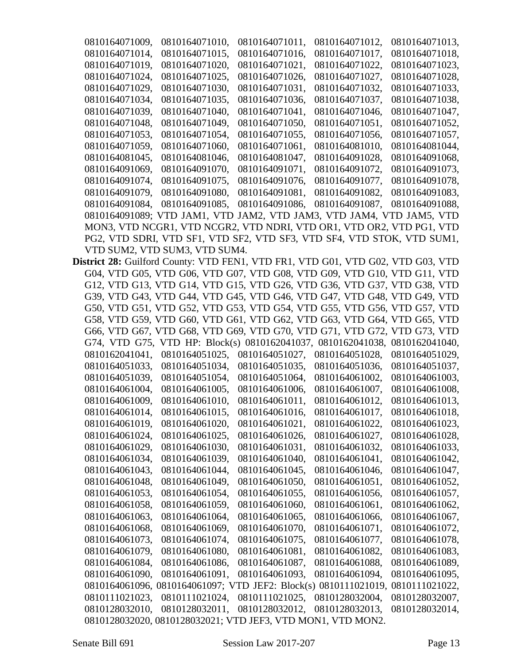| 0810164071009, | 0810164071010,                                                                  | 0810164071011, | 0810164071012, | 0810164071013, |
|----------------|---------------------------------------------------------------------------------|----------------|----------------|----------------|
| 0810164071014, | 0810164071015,                                                                  | 0810164071016, | 0810164071017, | 0810164071018, |
| 0810164071019, | 0810164071020,                                                                  | 0810164071021, | 0810164071022, | 0810164071023, |
| 0810164071024, | 0810164071025,                                                                  | 0810164071026, | 0810164071027, | 0810164071028, |
| 0810164071029, | 0810164071030,                                                                  | 0810164071031, | 0810164071032, | 0810164071033, |
| 0810164071034, | 0810164071035,                                                                  | 0810164071036, | 0810164071037, | 0810164071038, |
| 0810164071039, | 0810164071040,                                                                  | 0810164071041, | 0810164071046, | 0810164071047, |
| 0810164071048, | 0810164071049,                                                                  | 0810164071050, | 0810164071051, | 0810164071052, |
| 0810164071053, | 0810164071054,                                                                  | 0810164071055, | 0810164071056, | 0810164071057, |
| 0810164071059, | 0810164071060,                                                                  | 0810164071061, | 0810164081010, | 0810164081044, |
| 0810164081045, | 0810164081046,                                                                  | 0810164081047, | 0810164091028. | 0810164091068, |
| 0810164091069, | 0810164091070,                                                                  | 0810164091071, | 0810164091072, | 0810164091073, |
| 0810164091074, | 0810164091075,                                                                  | 0810164091076, | 0810164091077, | 0810164091078, |
| 0810164091079, | 0810164091080,                                                                  | 0810164091081, | 0810164091082, | 0810164091083, |
| 0810164091084, | 0810164091085,                                                                  | 0810164091086, | 0810164091087, | 0810164091088, |
|                | 0810164091089; VTD JAM1, VTD JAM2, VTD JAM3, VTD JAM4, VTD JAM5, VTD            |                |                |                |
|                | MON3, VTD NCGR1, VTD NCGR2, VTD NDRI, VTD OR1, VTD OR2, VTD PG1, VTD            |                |                |                |
|                | PG2, VTD SDRI, VTD SF1, VTD SF2, VTD SF3, VTD SF4, VTD STOK, VTD SUM1,          |                |                |                |
|                | VTD SUM2, VTD SUM3, VTD SUM4.                                                   |                |                |                |
|                | District 28: Guilford County: VTD FEN1, VTD FR1, VTD G01, VTD G02, VTD G03, VTD |                |                |                |
|                | G04, VTD G05, VTD G06, VTD G07, VTD G08, VTD G09, VTD G10, VTD G11, VTD         |                |                |                |
|                | G12, VTD G13, VTD G14, VTD G15, VTD G26, VTD G36, VTD G37, VTD G38, VTD         |                |                |                |
|                | G39, VTD G43, VTD G44, VTD G45, VTD G46, VTD G47, VTD G48, VTD G49, VTD         |                |                |                |
|                | G50, VTD G51, VTD G52, VTD G53, VTD G54, VTD G55, VTD G56, VTD G57, VTD         |                |                |                |
|                | G58, VTD G59, VTD G60, VTD G61, VTD G62, VTD G63, VTD G64, VTD G65, VTD         |                |                |                |
|                | G66, VTD G67, VTD G68, VTD G69, VTD G70, VTD G71, VTD G72, VTD G73, VTD         |                |                |                |
|                | G74, VTD G75, VTD HP: Block(s) 0810162041037, 0810162041038, 0810162041040,     |                |                |                |
| 0810162041041, | 0810164051025,                                                                  | 0810164051027, | 0810164051028, | 0810164051029, |
| 0810164051033, | 0810164051034,                                                                  | 0810164051035, | 0810164051036, | 0810164051037, |
| 0810164051039, | 0810164051054,                                                                  | 0810164051064, | 0810164061002, | 0810164061003, |
| 0810164061004, | 0810164061005,                                                                  | 0810164061006, | 0810164061007, | 0810164061008, |
| 0810164061009, | 0810164061010,                                                                  | 0810164061011, | 0810164061012, | 0810164061013, |
| 0810164061014, | 0810164061015,                                                                  | 0810164061016, | 0810164061017, | 0810164061018, |
| 0810164061019, | 0810164061020,                                                                  | 0810164061021, | 0810164061022, | 0810164061023, |
| 0810164061024, | 0810164061025,                                                                  | 0810164061026, | 0810164061027, | 0810164061028, |
| 0810164061029, | 0810164061030,                                                                  | 0810164061031, | 0810164061032, | 0810164061033, |
| 0810164061034, | 0810164061039,                                                                  | 0810164061040, | 0810164061041, | 0810164061042, |
| 0810164061043, | 0810164061044,                                                                  | 0810164061045, | 0810164061046, | 0810164061047, |
| 0810164061048, | 0810164061049,                                                                  | 0810164061050, | 0810164061051, | 0810164061052, |
| 0810164061053, | 0810164061054,                                                                  | 0810164061055, | 0810164061056, | 0810164061057, |
| 0810164061058, | 0810164061059,                                                                  | 0810164061060, | 0810164061061, | 0810164061062, |
| 0810164061063, | 0810164061064,                                                                  | 0810164061065, | 0810164061066, | 0810164061067, |
| 0810164061068, | 0810164061069,                                                                  | 0810164061070, | 0810164061071, | 0810164061072, |
| 0810164061073, | 0810164061074,                                                                  | 0810164061075, | 0810164061077, | 0810164061078, |
| 0810164061079, | 0810164061080,                                                                  | 0810164061081, | 0810164061082, | 0810164061083, |
| 0810164061084, | 0810164061086,                                                                  | 0810164061087, | 0810164061088, | 0810164061089, |
| 0810164061090, | 0810164061091,                                                                  | 0810164061093, | 0810164061094, | 0810164061095, |
|                | 0810164061096, 0810164061097; VTD JEF2: Block(s) 0810111021019, 0810111021022,  |                |                |                |
| 0810111021023, | 0810111021024,                                                                  | 0810111021025, | 0810128032004, | 0810128032007, |
| 0810128032010, | 0810128032011,                                                                  | 0810128032012, | 0810128032013, | 0810128032014, |
|                | 0810128032020, 0810128032021; VTD JEF3, VTD MON1, VTD MON2.                     |                |                |                |
|                |                                                                                 |                |                |                |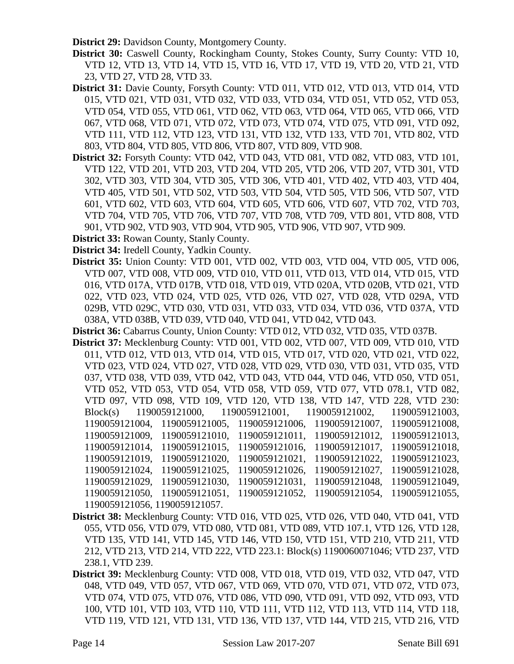**District 29:** Davidson County, Montgomery County.

- **District 30:** Caswell County, Rockingham County, Stokes County, Surry County: VTD 10, VTD 12, VTD 13, VTD 14, VTD 15, VTD 16, VTD 17, VTD 19, VTD 20, VTD 21, VTD 23, VTD 27, VTD 28, VTD 33.
- **District 31:** Davie County, Forsyth County: VTD 011, VTD 012, VTD 013, VTD 014, VTD 015, VTD 021, VTD 031, VTD 032, VTD 033, VTD 034, VTD 051, VTD 052, VTD 053, VTD 054, VTD 055, VTD 061, VTD 062, VTD 063, VTD 064, VTD 065, VTD 066, VTD 067, VTD 068, VTD 071, VTD 072, VTD 073, VTD 074, VTD 075, VTD 091, VTD 092, VTD 111, VTD 112, VTD 123, VTD 131, VTD 132, VTD 133, VTD 701, VTD 802, VTD 803, VTD 804, VTD 805, VTD 806, VTD 807, VTD 809, VTD 908.
- **District 32:** Forsyth County: VTD 042, VTD 043, VTD 081, VTD 082, VTD 083, VTD 101, VTD 122, VTD 201, VTD 203, VTD 204, VTD 205, VTD 206, VTD 207, VTD 301, VTD 302, VTD 303, VTD 304, VTD 305, VTD 306, VTD 401, VTD 402, VTD 403, VTD 404, VTD 405, VTD 501, VTD 502, VTD 503, VTD 504, VTD 505, VTD 506, VTD 507, VTD 601, VTD 602, VTD 603, VTD 604, VTD 605, VTD 606, VTD 607, VTD 702, VTD 703, VTD 704, VTD 705, VTD 706, VTD 707, VTD 708, VTD 709, VTD 801, VTD 808, VTD 901, VTD 902, VTD 903, VTD 904, VTD 905, VTD 906, VTD 907, VTD 909.
- **District 33:** Rowan County, Stanly County.

**District 34:** Iredell County, Yadkin County.

- **District 35:** Union County: VTD 001, VTD 002, VTD 003, VTD 004, VTD 005, VTD 006, VTD 007, VTD 008, VTD 009, VTD 010, VTD 011, VTD 013, VTD 014, VTD 015, VTD 016, VTD 017A, VTD 017B, VTD 018, VTD 019, VTD 020A, VTD 020B, VTD 021, VTD 022, VTD 023, VTD 024, VTD 025, VTD 026, VTD 027, VTD 028, VTD 029A, VTD 029B, VTD 029C, VTD 030, VTD 031, VTD 033, VTD 034, VTD 036, VTD 037A, VTD 038A, VTD 038B, VTD 039, VTD 040, VTD 041, VTD 042, VTD 043.
- **District 36:** Cabarrus County, Union County: VTD 012, VTD 032, VTD 035, VTD 037B.
- **District 37:** Mecklenburg County: VTD 001, VTD 002, VTD 007, VTD 009, VTD 010, VTD 011, VTD 012, VTD 013, VTD 014, VTD 015, VTD 017, VTD 020, VTD 021, VTD 022, VTD 023, VTD 024, VTD 027, VTD 028, VTD 029, VTD 030, VTD 031, VTD 035, VTD 037, VTD 038, VTD 039, VTD 042, VTD 043, VTD 044, VTD 046, VTD 050, VTD 051, VTD 052, VTD 053, VTD 054, VTD 058, VTD 059, VTD 077, VTD 078.1, VTD 082, VTD 097, VTD 098, VTD 109, VTD 120, VTD 138, VTD 147, VTD 228, VTD 230: Block(s) 1190059121000, 1190059121001, 1190059121002, 1190059121003, 1190059121004, 1190059121005, 1190059121006, 1190059121007, 1190059121008, 1190059121009, 1190059121010, 1190059121011, 1190059121012, 1190059121013, 1190059121014, 1190059121015, 1190059121016, 1190059121017, 1190059121018, 1190059121019, 1190059121020, 1190059121021, 1190059121022, 1190059121023, 1190059121024, 1190059121025, 1190059121026, 1190059121027, 1190059121028, 1190059121029, 1190059121030, 1190059121031, 1190059121048, 1190059121049, 1190059121050, 1190059121051, 1190059121052, 1190059121054, 1190059121055, 1190059121056, 1190059121057.
- **District 38:** Mecklenburg County: VTD 016, VTD 025, VTD 026, VTD 040, VTD 041, VTD 055, VTD 056, VTD 079, VTD 080, VTD 081, VTD 089, VTD 107.1, VTD 126, VTD 128, VTD 135, VTD 141, VTD 145, VTD 146, VTD 150, VTD 151, VTD 210, VTD 211, VTD 212, VTD 213, VTD 214, VTD 222, VTD 223.1: Block(s) 1190060071046; VTD 237, VTD 238.1, VTD 239.
- **District 39:** Mecklenburg County: VTD 008, VTD 018, VTD 019, VTD 032, VTD 047, VTD 048, VTD 049, VTD 057, VTD 067, VTD 069, VTD 070, VTD 071, VTD 072, VTD 073, VTD 074, VTD 075, VTD 076, VTD 086, VTD 090, VTD 091, VTD 092, VTD 093, VTD 100, VTD 101, VTD 103, VTD 110, VTD 111, VTD 112, VTD 113, VTD 114, VTD 118, VTD 119, VTD 121, VTD 131, VTD 136, VTD 137, VTD 144, VTD 215, VTD 216, VTD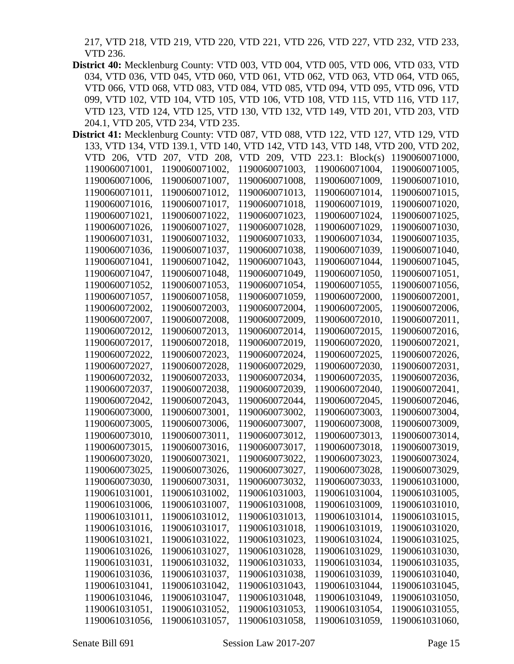217, VTD 218, VTD 219, VTD 220, VTD 221, VTD 226, VTD 227, VTD 232, VTD 233, VTD 236.

**District 40:** Mecklenburg County: VTD 003, VTD 004, VTD 005, VTD 006, VTD 033, VTD 034, VTD 036, VTD 045, VTD 060, VTD 061, VTD 062, VTD 063, VTD 064, VTD 065, VTD 066, VTD 068, VTD 083, VTD 084, VTD 085, VTD 094, VTD 095, VTD 096, VTD 099, VTD 102, VTD 104, VTD 105, VTD 106, VTD 108, VTD 115, VTD 116, VTD 117, VTD 123, VTD 124, VTD 125, VTD 130, VTD 132, VTD 149, VTD 201, VTD 203, VTD 204.1, VTD 205, VTD 234, VTD 235.

| District 41: Mecklenburg County: VTD 087, VTD 088, VTD 122, VTD 127, VTD 129, VTD |                |                                                                                |                |                |
|-----------------------------------------------------------------------------------|----------------|--------------------------------------------------------------------------------|----------------|----------------|
|                                                                                   |                | 133, VTD 134, VTD 139.1, VTD 140, VTD 142, VTD 143, VTD 148, VTD 200, VTD 202, |                |                |
| VTD 206, VTD                                                                      | 207, VTD 208,  | VTD $209$ , VTD $223.1$ : Block(s)                                             |                | 1190060071000, |
| 1190060071001,                                                                    | 1190060071002, | 1190060071003,                                                                 | 1190060071004, | 1190060071005, |
| 1190060071006,                                                                    | 1190060071007, | 1190060071008,                                                                 | 1190060071009, | 1190060071010, |
| 1190060071011,                                                                    | 1190060071012, | 1190060071013,                                                                 | 1190060071014, | 1190060071015, |
| 1190060071016,                                                                    | 1190060071017, | 1190060071018,                                                                 | 1190060071019, | 1190060071020, |
| 1190060071021,                                                                    | 1190060071022, | 1190060071023,                                                                 | 1190060071024, | 1190060071025. |
| 1190060071026,                                                                    | 1190060071027, | 1190060071028,                                                                 | 1190060071029, | 1190060071030, |
| 1190060071031,                                                                    | 1190060071032, | 1190060071033,                                                                 | 1190060071034, | 1190060071035, |
| 1190060071036,                                                                    | 1190060071037. | 1190060071038,                                                                 | 1190060071039, | 1190060071040, |
| 1190060071041,                                                                    | 1190060071042, | 1190060071043,                                                                 | 1190060071044, | 1190060071045, |
| 1190060071047,                                                                    | 1190060071048, | 1190060071049,                                                                 | 1190060071050, | 1190060071051, |
| 1190060071052,                                                                    | 1190060071053, | 1190060071054,                                                                 | 1190060071055, | 1190060071056, |
| 1190060071057.                                                                    | 1190060071058, | 1190060071059,                                                                 | 1190060072000, | 1190060072001, |
| 1190060072002.                                                                    | 1190060072003, | 1190060072004,                                                                 | 1190060072005, | 1190060072006, |
| 1190060072007,                                                                    | 1190060072008, | 1190060072009,                                                                 | 1190060072010, | 1190060072011, |
| 1190060072012,                                                                    | 1190060072013, | 1190060072014,                                                                 | 1190060072015, | 1190060072016, |
| 1190060072017,                                                                    | 1190060072018, | 1190060072019,                                                                 | 1190060072020, | 1190060072021, |
| 1190060072022,                                                                    | 1190060072023, | 1190060072024,                                                                 | 1190060072025, | 1190060072026, |
| 1190060072027,                                                                    | 1190060072028, | 1190060072029,                                                                 | 1190060072030, | 1190060072031, |
| 1190060072032,                                                                    | 1190060072033, | 1190060072034,                                                                 | 1190060072035, | 1190060072036, |
| 1190060072037,                                                                    | 1190060072038, | 1190060072039,                                                                 | 1190060072040, | 1190060072041, |
| 1190060072042,                                                                    | 1190060072043, | 1190060072044,                                                                 | 1190060072045, | 1190060072046, |
| 1190060073000,                                                                    | 1190060073001, | 1190060073002,                                                                 | 1190060073003, | 1190060073004, |
| 1190060073005,                                                                    | 1190060073006, | 1190060073007,                                                                 | 1190060073008, | 1190060073009, |
| 1190060073010,                                                                    | 1190060073011, | 1190060073012,                                                                 | 1190060073013, | 1190060073014, |
| 1190060073015,                                                                    | 1190060073016, | 1190060073017,                                                                 | 1190060073018, | 1190060073019, |
| 1190060073020,                                                                    | 1190060073021, | 1190060073022,                                                                 | 1190060073023, | 1190060073024, |
| 1190060073025,                                                                    | 1190060073026, | 1190060073027,                                                                 | 1190060073028, | 1190060073029, |
| 1190060073030,                                                                    | 1190060073031, | 1190060073032,                                                                 | 1190060073033, | 1190061031000, |
| 1190061031001,                                                                    | 1190061031002, | 1190061031003,                                                                 | 1190061031004, | 1190061031005, |
| 1190061031006,                                                                    | 1190061031007, | 1190061031008,                                                                 | 1190061031009, | 1190061031010, |
| 1190061031011,                                                                    | 1190061031012, | 1190061031013,                                                                 | 1190061031014, | 1190061031015, |
| 1190061031016,                                                                    | 1190061031017, | 1190061031018,                                                                 | 1190061031019, | 1190061031020, |
| 1190061031021,                                                                    | 1190061031022, | 1190061031023,                                                                 | 1190061031024, | 1190061031025, |
| 1190061031026,                                                                    | 1190061031027, | 1190061031028,                                                                 | 1190061031029, | 1190061031030, |
| 1190061031031,                                                                    | 1190061031032, | 1190061031033,                                                                 | 1190061031034, | 1190061031035, |
| 1190061031036,                                                                    | 1190061031037, | 1190061031038,                                                                 | 1190061031039, | 1190061031040, |
| 1190061031041,                                                                    | 1190061031042, | 1190061031043,                                                                 | 1190061031044, | 1190061031045, |
| 1190061031046,                                                                    | 1190061031047, | 1190061031048,                                                                 | 1190061031049, | 1190061031050, |
| 1190061031051,                                                                    | 1190061031052, | 1190061031053,                                                                 | 1190061031054, | 1190061031055, |
| 1190061031056,                                                                    | 1190061031057, | 1190061031058,                                                                 | 1190061031059, | 1190061031060, |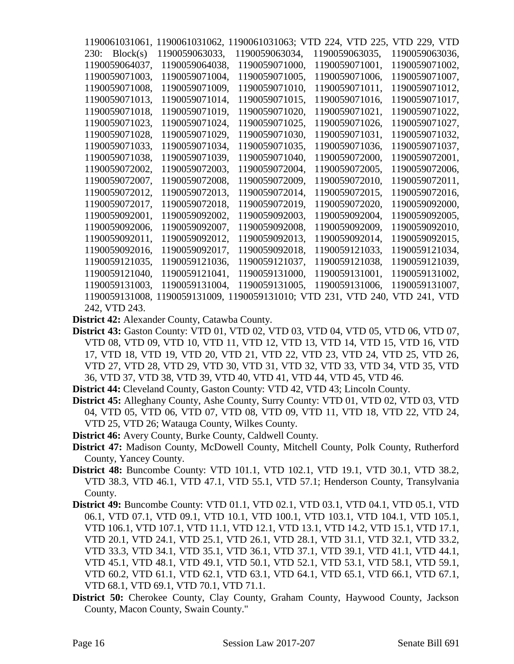| 1190061031061. |                | 1190061031062, 1190061031063; V | D 224, VTD 225,                               | VTD 229, VTD   |
|----------------|----------------|---------------------------------|-----------------------------------------------|----------------|
| 230: Block(s)  | 1190059063033. | 1190059063034,                  | 1190059063035,                                | 1190059063036, |
| 1190059064037. | 1190059064038. | 1190059071000.                  | 1190059071001.                                | 1190059071002. |
| 1190059071003, | 1190059071004, | 1190059071005,                  | 1190059071006,                                | 1190059071007. |
| 1190059071008. | 1190059071009. | 1190059071010.                  | 1190059071011,                                | 1190059071012. |
| 1190059071013, | 1190059071014, | 1190059071015,                  | 1190059071016,                                | 1190059071017. |
| 1190059071018. | 1190059071019. | 1190059071020.                  | 1190059071021,                                | 1190059071022. |
| 1190059071023. | 1190059071024, | 1190059071025,                  | 1190059071026.                                | 1190059071027. |
| 1190059071028, | 1190059071029, | 1190059071030,                  | 1190059071031,                                | 1190059071032, |
| 1190059071033, | 1190059071034, | 1190059071035,                  | 1190059071036.                                | 1190059071037, |
| 1190059071038. | 1190059071039. | 1190059071040.                  | 1190059072000,                                | 1190059072001. |
| 1190059072002. | 1190059072003. | 1190059072004,                  | 1190059072005,                                | 1190059072006, |
| 1190059072007. | 1190059072008. | 1190059072009.                  | 1190059072010.                                | 1190059072011, |
| 1190059072012, | 1190059072013. | 1190059072014.                  | 1190059072015.                                | 1190059072016. |
| 1190059072017. | 1190059072018. | 1190059072019.                  | 1190059072020,                                | 1190059092000, |
| 1190059092001. | 1190059092002. | 1190059092003.                  | 1190059092004,                                | 1190059092005. |
| 1190059092006, | 1190059092007, | 1190059092008,                  | 1190059092009.                                | 1190059092010. |
| 1190059092011. | 1190059092012, | 1190059092013.                  | 1190059092014,                                | 1190059092015. |
| 1190059092016. | 1190059092017, | 1190059092018.                  | 1190059121033.                                | 1190059121034, |
| 1190059121035, | 1190059121036, | 1190059121037,                  | 1190059121038,                                | 1190059121039, |
| 1190059121040. | 1190059121041. | 1190059131000.                  | 1190059131001.                                | 1190059131002. |
| 1190059131003. | 1190059131004, | 1190059131005.                  | 1190059131006,                                | 1190059131007. |
| 1190059131008. | 1190059131009, |                                 | 1190059131010; VTD 231, VTD 240, VTD 241, VTD |                |
| 242, VTD 243.  |                |                                 |                                               |                |

**District 42:** Alexander County, Catawba County.

**District 43:** Gaston County: VTD 01, VTD 02, VTD 03, VTD 04, VTD 05, VTD 06, VTD 07, VTD 08, VTD 09, VTD 10, VTD 11, VTD 12, VTD 13, VTD 14, VTD 15, VTD 16, VTD 17, VTD 18, VTD 19, VTD 20, VTD 21, VTD 22, VTD 23, VTD 24, VTD 25, VTD 26, VTD 27, VTD 28, VTD 29, VTD 30, VTD 31, VTD 32, VTD 33, VTD 34, VTD 35, VTD 36, VTD 37, VTD 38, VTD 39, VTD 40, VTD 41, VTD 44, VTD 45, VTD 46.

**District 44:** Cleveland County, Gaston County: VTD 42, VTD 43; Lincoln County.

- **District 45:** Alleghany County, Ashe County, Surry County: VTD 01, VTD 02, VTD 03, VTD 04, VTD 05, VTD 06, VTD 07, VTD 08, VTD 09, VTD 11, VTD 18, VTD 22, VTD 24, VTD 25, VTD 26; Watauga County, Wilkes County.
- **District 46:** Avery County, Burke County, Caldwell County.
- **District 47:** Madison County, McDowell County, Mitchell County, Polk County, Rutherford County, Yancey County.
- **District 48:** Buncombe County: VTD 101.1, VTD 102.1, VTD 19.1, VTD 30.1, VTD 38.2, VTD 38.3, VTD 46.1, VTD 47.1, VTD 55.1, VTD 57.1; Henderson County, Transylvania County.
- **District 49:** Buncombe County: VTD 01.1, VTD 02.1, VTD 03.1, VTD 04.1, VTD 05.1, VTD 06.1, VTD 07.1, VTD 09.1, VTD 10.1, VTD 100.1, VTD 103.1, VTD 104.1, VTD 105.1, VTD 106.1, VTD 107.1, VTD 11.1, VTD 12.1, VTD 13.1, VTD 14.2, VTD 15.1, VTD 17.1, VTD 20.1, VTD 24.1, VTD 25.1, VTD 26.1, VTD 28.1, VTD 31.1, VTD 32.1, VTD 33.2, VTD 33.3, VTD 34.1, VTD 35.1, VTD 36.1, VTD 37.1, VTD 39.1, VTD 41.1, VTD 44.1, VTD 45.1, VTD 48.1, VTD 49.1, VTD 50.1, VTD 52.1, VTD 53.1, VTD 58.1, VTD 59.1, VTD 60.2, VTD 61.1, VTD 62.1, VTD 63.1, VTD 64.1, VTD 65.1, VTD 66.1, VTD 67.1, VTD 68.1, VTD 69.1, VTD 70.1, VTD 71.1.
- **District 50:** Cherokee County, Clay County, Graham County, Haywood County, Jackson County, Macon County, Swain County."